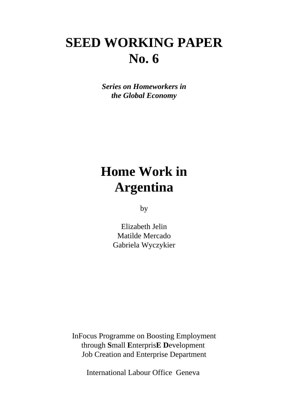# **SEED WORKING PAPER No. 6**

*Series on Homeworkers in the Global Economy*

# **Home Work in Argentina**

by

Elizabeth Jelin Matilde Mercado Gabriela Wyczykier

InFocus Programme on Boosting Employment through **S**mall **E**nterpris**E D**evelopment Job Creation and Enterprise Department

International Labour Office Geneva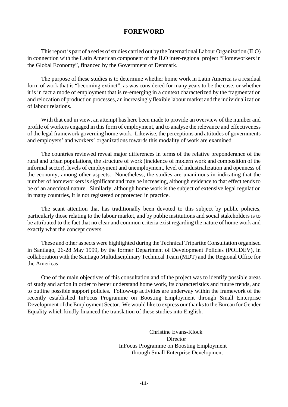# **FOREWORD**

This report is part of a series of studies carried out by the International Labour Organization (ILO) in connection with the Latin American component of the ILO inter-regional project "Homeworkers in the Global Economy", financed by the Government of Denmark.

The purpose of these studies is to determine whether home work in Latin America is a residual form of work that is "becoming extinct", as was considered for many years to be the case, or whether it is in fact a mode of employment that is re-emerging in a context characterized by the fragmentation and relocation of production processes, an increasingly flexible labour market and the individualization of labour relations.

With that end in view, an attempt has here been made to provide an overview of the number and profile of workers engaged in this form of employment, and to analyse the relevance and effectiveness of the legal framework governing home work. Likewise, the perceptions and attitudes of governments and employers' and workers' organizations towards this modality of work are examined.

The countries reviewed reveal major differences in terms of the relative preponderance of the rural and urban populations, the structure of work (incidence of modern work and composition of the informal sector), levels of employment and unemployment, level of industrialization and openness of the economy, among other aspects. Nonetheless, the studies are unanimous in indicating that the number of homeworkers is significant and may be increasing, although evidence to that effect tends to be of an anecdotal nature. Similarly, although home work is the subject of extensive legal regulation in many countries, it is not registered or protected in practice.

The scant attention that has traditionally been devoted to this subject by public policies, particularly those relating to the labour market, and by public institutions and social stakeholders is to be attributed to the fact that no clear and common criteria exist regarding the nature of home work and exactly what the concept covers.

These and other aspects were highlighted during the Technical Tripartite Consultation organised in Santiago, 26-28 May 1999, by the former Department of Development Policies (POLDEV), in collaboration with the Santiago Multidisciplinary Technical Team (MDT) and the Regional Office for the Americas.

One of the main objectives of this consultation and of the project was to identify possible areas of study and action in order to better understand home work, its characteristics and future trends, and to outline possible support policies. Follow-up activities are underway within the framework of the recently established InFocus Programme on Boosting Employment through Small Enterprise Development of the Employment Sector. We would like to express our thanks to the Bureau for Gender Equality which kindly financed the translation of these studies into English.

> Christine Evans-Klock **Director**  InFocus Programme on Boosting Employment through Small Enterprise Development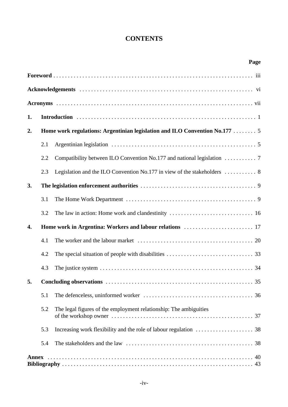# **CONTENTS**

|                  |                                                                             | Page                                                                                        |  |  |  |  |
|------------------|-----------------------------------------------------------------------------|---------------------------------------------------------------------------------------------|--|--|--|--|
|                  |                                                                             |                                                                                             |  |  |  |  |
|                  |                                                                             |                                                                                             |  |  |  |  |
|                  |                                                                             |                                                                                             |  |  |  |  |
| 1.               |                                                                             |                                                                                             |  |  |  |  |
| 2.               | Home work regulations: Argentinian legislation and ILO Convention No.177  5 |                                                                                             |  |  |  |  |
|                  | 2.1                                                                         |                                                                                             |  |  |  |  |
|                  | 2.2                                                                         |                                                                                             |  |  |  |  |
|                  | 2.3                                                                         | Legislation and the ILO Convention No.177 in view of the stakeholders $\dots \dots \dots$ 8 |  |  |  |  |
| 3.               |                                                                             |                                                                                             |  |  |  |  |
|                  | 3.1                                                                         |                                                                                             |  |  |  |  |
|                  | 3.2                                                                         |                                                                                             |  |  |  |  |
| $\overline{4}$ . |                                                                             |                                                                                             |  |  |  |  |
|                  | 4.1                                                                         |                                                                                             |  |  |  |  |
|                  | 4.2                                                                         |                                                                                             |  |  |  |  |
|                  | 4.3                                                                         |                                                                                             |  |  |  |  |
| 5.               |                                                                             |                                                                                             |  |  |  |  |
|                  | 5.1                                                                         |                                                                                             |  |  |  |  |
|                  | 5.2                                                                         | The legal figures of the employment relationship: The ambiguities                           |  |  |  |  |
|                  | 5.3                                                                         |                                                                                             |  |  |  |  |
|                  | 5.4                                                                         |                                                                                             |  |  |  |  |
| Annex            |                                                                             |                                                                                             |  |  |  |  |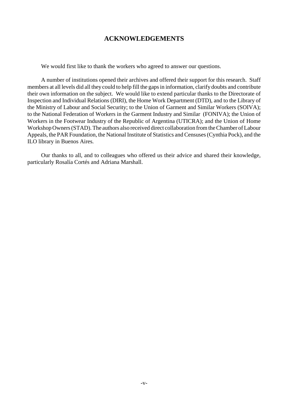# **ACKNOWLEDGEMENTS**

We would first like to thank the workers who agreed to answer our questions.

A number of institutions opened their archives and offered their support for this research. Staff members at all levels did all they could to help fill the gaps in information, clarify doubts and contribute their own information on the subject. We would like to extend particular thanks to the Directorate of Inspection and Individual Relations (DIRI), the Home Work Department (DTD), and to the Library of the Ministry of Labour and Social Security; to the Union of Garment and Similar Workers (SOIVA); to the National Federation of Workers in the Garment Industry and Similar (FONIVA); the Union of Workers in the Footwear Industry of the Republic of Argentina (UTICRA); and the Union of Home Workshop Owners (STAD). The authors also received direct collaboration from the Chamber of Labour Appeals, the PAR Foundation, the National Institute of Statistics and Censuses(Cynthia Pock), and the ILO library in Buenos Aires.

Our thanks to all, and to colleagues who offered us their advice and shared their knowledge, particularly Rosalía Cortés and Adriana Marshall.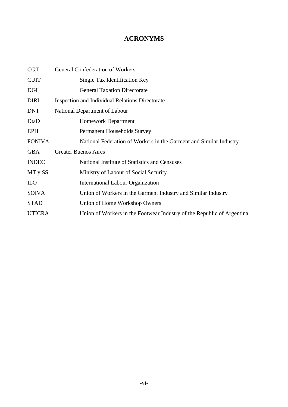# **ACRONYMS**

| <b>CGT</b>    | <b>General Confederation of Workers</b>                                |  |  |
|---------------|------------------------------------------------------------------------|--|--|
| <b>CUIT</b>   | Single Tax Identification Key                                          |  |  |
| DGI           | <b>General Taxation Directorate</b>                                    |  |  |
| <b>DIRI</b>   | <b>Inspection and Individual Relations Directorate</b>                 |  |  |
| <b>DNT</b>    | National Department of Labour                                          |  |  |
| DtaD          | <b>Homework Department</b>                                             |  |  |
| <b>EPH</b>    | <b>Permanent Households Survey</b>                                     |  |  |
| <b>FONIVA</b> | National Federation of Workers in the Garment and Similar Industry     |  |  |
| <b>GBA</b>    | <b>Greater Buenos Aires</b>                                            |  |  |
| <b>INDEC</b>  | National Institute of Statistics and Censuses                          |  |  |
| MT y SS       | Ministry of Labour of Social Security                                  |  |  |
| <b>ILO</b>    | International Labour Organization                                      |  |  |
| <b>SOIVA</b>  | Union of Workers in the Garment Industry and Similar Industry          |  |  |
| <b>STAD</b>   | Union of Home Workshop Owners                                          |  |  |
| <b>UTICRA</b> | Union of Workers in the Footwear Industry of the Republic of Argentina |  |  |
|               |                                                                        |  |  |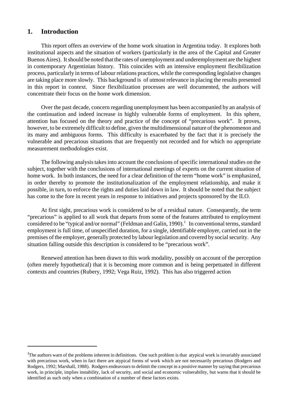# **1. Introduction**

This report offers an overview of the home work situation in Argentina today. It explores both institutional aspects and the situation of workers (particularly in the area of the Capital and Greater Buenos Aires). It should be noted that the rates of unemployment and underemployment are the highest in contemporary Argentinian history. This coincides with an intensive employment flexibilization process, particularly in terms of labour relations practices, while the corresponding legislative changes are taking place more slowly. This background is of utmost relevance in placing the results presented in this report in context. Since flexibilization processes are well documented, the authors will concentrate their focus on the home work dimension.

Over the past decade, concern regarding unemployment has been accompanied by an analysis of the continuation and indeed increase in highly vulnerable forms of employment. In this sphere, attention has focused on the theory and practice of the concept of "precarious work". It proves, however, to be extremely difficult to define, given the multidimensional nature of the phenomenon and its many and ambiguous forms. This difficulty is exacerbated by the fact that it is precisely the vulnerable and precarious situations that are frequently not recorded and for which no appropriate measurement methodologies exist.

The following analysistakes into account the conclusions of specific international studies on the subject, together with the conclusions of international meetings of experts on the current situation of home work. In both instances, the need for a clear definition of the term "home work" is emphasized, in order thereby to promote the institutionalization of the employment relationship, and make it possible, in turn, to enforce the rights and duties laid down in law. It should be noted that the subject has come to the fore in recent years in response to initiatives and projects sponsored by the ILO.

At first sight, precarious work is considered to be of a residual nature. Consequently, the term "precarious" is applied to all work that departs from some of the features attributed to employment considered to be "typical and/or normal" (Feldman and Galin, 1990).<sup>1</sup> In conventional terms, standard employment is full time, of unspecified duration, for a single, identifiable employer, carried out in the premises of the employer, generally protected by labour legislation and covered by socialsecurity. Any situation falling outside this description is considered to be "precarious work".

Renewed attention has been drawn to this work modality, possibly on account of the perception (often merely hypothetical) that it is becoming more common and is being perpetuated in different contexts and countries (Rubery, 1992; Vega Ruiz, 1992). This has also triggered action

<sup>&</sup>lt;sup>1</sup>The authors warn of the problems inherent in definitions. One such problem is that atypical work is invariably associated with precarious work, when in fact there are atypical forms of work which are not necessarily precarious (Rodgers and Rodgers, 1992; Marshall, 1988). Rodgers endeavours to delimit the concept in a positive manner by saying that precarious work, in principle, implies instability, lack of security, and social and economic vulnerability, but warns that it should be identified as such only when a combination of a number of these factors exists.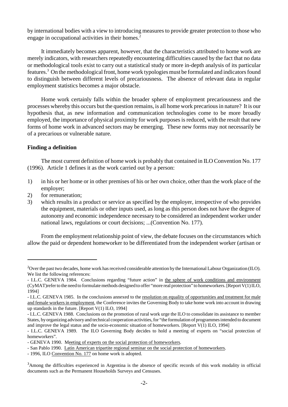by international bodies with a view to introducing measures to provide greater protection to those who engage in occupational activities in their homes.<sup>2</sup>

It immediately becomes apparent, however, that the characteristics attributed to home work are merely indicators, with researchers repeatedly encountering difficulties caused by the fact that no data or methodological tools exist to carry out a statistical study or more in-depth analysis of its particular features.<sup>3</sup> On the methodological front, home work typologies must be formulated and indicators found to distinguish between different levels of precariousness. The absence of relevant data in regular employment statistics becomes a major obstacle.

Home work certainly falls within the broader sphere of employment precariousness and the processes whereby this occurs but the question remains, is all home work precariousin nature? It is our hypothesis that, as new information and communication technologies come to be more broadly employed, the importance of physical proximity for work purposes is reduced, with the result that new forms of home work in advanced sectors may be emerging. These new forms may not necessarily be of a precarious or vulnerable nature.

#### **Finding a definition**

The most current definition of home work is probably that contained in ILO Convention No. 177 (1996). Article 1 defines it as the work carried out by a person:

- 1) in his or her home or in other premises of his or her own choice, other than the work place of the employer;
- 2) for remuneration;
- 3) which results in a product or service as specified by the employer, irrespective of who provides the equipment, materials or other inputs used, as long as this person does not have the degree of autonomy and economic independence necessary to be considered an independent worker under national laws, regulations or court decisions; ...(Convention No. 177).

From the employment relationship point of view, the debate focuses on the circumstances which allow the paid or dependent homeworker to be differentiated from the independent worker (artisan or

<sup>&</sup>lt;sup>2</sup>Over the past two decades, home work has received considerable attention by the International Labour Organization (ILO). We list the following references:

<sup>-</sup> I.L.C. GENEVA 1984. Conclusions regarding "future action" in the sphere of work conditions and environment (CyMAT)referto the need to formulate methods designed to offer "more real protection" to homeworkers. [Report V(1) ILO, 1994]

<sup>-</sup> I.L.C. GENEVA 1985. In the conclusions annexed to the resolution on equality of opportunities and treatment for male and female workersin employment, the Conference invites the Governing Body to take home work into account in drawing up standards in the future. [Report V(1) ILO, 1994]

<sup>-</sup> I.L.C. GENEVA 1988. Conclusions on the promotion of rural work urge the ILO to consolidate its assistance to member States, by organizing advisoryand technical cooperation activities, for "the formulation of programmes intended to document and improve the legal status and the socio-economic situation of homeworkers. [Report V(1) ILO, 1994]

<sup>-</sup> I.L.C. GENEVA 1989. The ILO Governing Body decides to hold a meeting of experts on "social protection of homeworkers".

<sup>-</sup> GENEVA 1990. Meeting of experts on the social protection of homeworkers.

<sup>-</sup> San Pablo 1990. Latin American tripartite regional seminar on the social protection of homeworkers.

<sup>- 1996,</sup> ILO Convention No. 177 on home work is adopted.

<sup>3</sup>Among the difficulties experienced in Argentina is the absence of specific records of this work modality in official documents such as the Permanent Households Surveys and Censuses.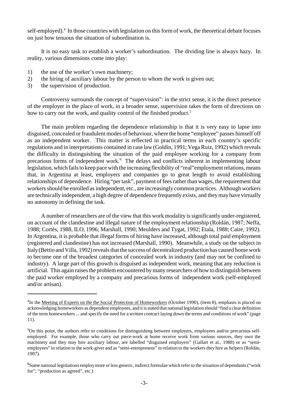self-employed).<sup>4</sup> In those countries with legislation on this form of work, the theoretical debate focuses on just how tenuous the situation of subordination is.

It is no easy task to establish a worker's subordination. The dividing line is always hazy. In reality, various dimensions come into play:

- 1) the use of the worker's own machinery;
- 2) the hiring of auxiliary labour by the person to whom the work is given out;
- 3) the supervision of production.

Controversy surrounds the concept of "supervision": in the strict sense, it is the direct presence of the employer in the place of work, in a broader sense, supervision takes the form of directions on how to carry out the work, and quality control of the finished product.<sup>5</sup>

The main problem regarding the dependence relationship is that it is very easy to lapse into disguised, concealed or fraudulent modes of behaviour, where the home "employee" passes himself off as an independent worker. This matter is reflected in practical terms in each country's specific regulations and in interpretations contained in case law (Goldín, 1991; Vega Ruiz, 1992) which reveals the difficulty in distinguishing the situation of the paid employee working for a company from precarious forms of independent work.<sup>6</sup> The delays and conflicts inherent in implementing labour legislation, which fails to keep pace with the increasing flexibility of "real"employment relations, means that, in Argentina at least, employers and companies go to great length to avoid establishing relationships of dependence. Hiring "per task", payment of fees rather than wages, the requirement that workers should be enrolled as independent, etc., are increasingly common practices. Although workers are technically independent, a high degree of dependence frequently exists, and theymay have virtually no autonomy in defining the task.

A number of researchers are of the view that this work modality is significantly under-registered, on account of the clandestine and illegal nature of the employment relationship (Roldán, 1987; Neffa, 1988; Cortés, 1988, ILO, 1996; Marshall, 1990; Meulders and Tygat, 1992; Etala, 1988; Caire, 1992). In Argentina, it is probable that illegal forms of hiring have increased, although total paid employment (registered and clandestine) has not increased (Marshall, 1990). Meanwhile, a study on the subject in Italy (Bettio and Villa, 1992) reveals that the success of decentralized production has caused home work to become one of the broadest categories of concealed work in industry (and may not be confined to industry). A large part of this growth is disguised as independent work, meaning that any reduction is artificial. This again raises the problem encountered by many researchers of how to distinguish between the paid worker employed by a company and precarious forms of independent work (self-employed and/or artisan).

<sup>&</sup>lt;sup>4</sup>In the <u>Meeting of Experts on the the Social Protection of Homeworkers</u> (October 1990), (item 8), emphasis is placed on acknowledging homeworkers as dependent employees, and it isstated that national legislation should "find a clear definition of the term homeworkers... and specify the need for a written contract laying down the terms and conditions of work" (page 11).

<sup>&</sup>lt;sup>5</sup>On this point, the authors refer to conditions for distinguishing between employers, employees and/or precarious selfemployed. For example, those who carry out piece-work at home receive work from various sources, they own the machinery and they may hire auxiliary labour, are labelled "disguised employers" (Gallart et al., 1988) or as "semiemployees" in relation to the work-giver and as "semi-entrepreneur" in relation to the workers they hire as helpers (Roldán, 1987).

<sup>&</sup>lt;sup>6</sup>Some national legislations employ more or less generic, indirect formulae which refer to the situation of dependants ("work for"; "production as agreed", etc.)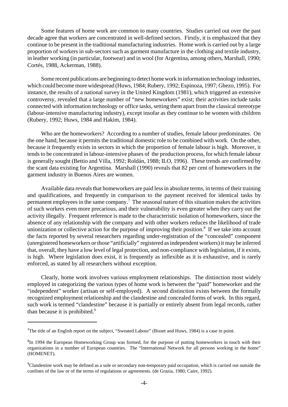Some features of home work are common to many countries. Studies carried out over the past decade agree that workers are concentrated in well-defined sectors. Firstly, it is emphasized that they continue to be present in the traditional manufacturing industries. Home work is carried out by a large proportion of workers in sub-sectors such as garment manufacture in the clothing and textile industry, in leather working (in particular, footwear) and in wool (for Argentina, among others, Marshall, 1990; Cortés, 1988, Ackerman, 1988).

Some recent publications are beginning to detect home work in information technology industries, which could become more widespread (Huws, 1984; Rubery, 1992; Espinoza, 1997; Gbezo, 1995). For instance, the results of a national survey in the United Kingdom (1981), which triggered an extensive controversy, revealed that a large number of "new homeworkers" exist; their activities include tasks connected with information technology or office tasks, setting them apart from the classical stereotype (labour-intensive manufacturing industry), except insofar as they continue to be women with children (Rubery, 1992; Huws, 1984 and Hakim, 1984).

Who are the homeworkers? According to a number of studies, female labour predominates. On the one hand, because it permits the traditional domestic role to be combined with work. On the other, because it frequently exists in sectors in which the proportion of female labour is high. Moreover, it tends to be concentrated in labour-intensive phases of the production process, for which female labour is generally sought (Bettio and Villa, 1992; Roldán, 1988; ILO, 1996). These trends are confirmed by the scant data existing for Argentina. Marshall (1990) reveals that 82 per cent of homeworkers in the garment industry in Buenos Aires are women.

Available data reveals that homeworkers are paid less in absolute terms, in terms of their training and qualifications, and frequently in comparison to the payment received for identical tasks by permanent employees in the same company.<sup>7</sup> The seasonal nature of this situation makes the activities of such workers even more precarious, and their vulnerability is even greater when they carry out the activity illegally. Frequent reference is made to the characteristic isolation of homeworkers, since the absence of any relationship with the company and with other workers reduces the likelihood of trade unionization or collective action for the purpose of improving their position.<sup>8</sup> If we take into account the facts reported by several researchers regarding under-registration of the "concealed" component (unregistered homeworkers or those "artificially" registered asindependent workers) it may be inferred that, overall, they have a low level of legal protection, and non-compliance with legislation, if it exists, is high. Where legislation does exist, it is frequently as inflexible as it is exhaustive, and is rarely enforced, as stated by all researchers without exception.

Clearly, home work involves various employment relationships. The distinction most widely employed in categorizing the various types of home work is between the "paid" homeworker and the "independent" worker (artisan or self-employed). A second distinction exists between the formally recognized employment relationship and the clandestine and concealed forms of work. In this regard, such work is termed "clandestine" because it is partially or entirely absent from legal records, rather than because it is prohibited.<sup>9</sup>

<sup>&</sup>lt;sup>7</sup>The title of an English report on the subject, "Sweated Labour" (Bisset and Huws, 1984) is a case in point.

<sup>&</sup>lt;sup>8</sup>In 1994 the European Homeworking Group was formed, for the purpose of putting homeworkers in touch with their organizations in a number of European countries. The "International Network for all persons working in the home" (HOMENET).

<sup>9</sup>Clandestine work may be defined as a sole or secondary non-temporary paid occupation, which is carried out outside the confines of the law or of the terms of regulations or agreements. (de Grazia, 1980, Caire, 1992).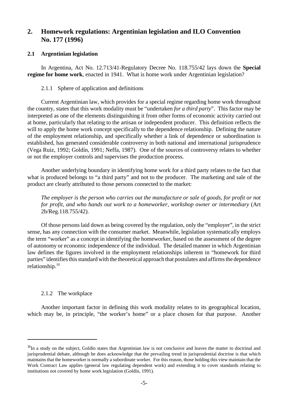# **2. Homework regulations: Argentinian legislation and ILO Convention No. 177 (1996)**

## **2.1 Argentinian legislation**

In Argentina, Act No. 12.713/41-Regulatory Decree No. 118.755/42 lays down the **Special regime for home work**, enacted in 1941. What is home work under Argentinian legislation?

## 2.1.1 Sphere of application and definitions

Current Argentinian law, which provides for a special regime regarding home work throughout the country, states that this work modality must be "undertaken *for a third party*". This factor may be interpreted as one of the elements distinguishing it from other forms of economic activity carried out at home, particularly that relating to the artisan or independent producer. This definition reflects the will to apply the home work concept specifically to the dependence relationship. Defining the nature of the employment relationship, and specifically whether a link of dependence or subordination is established, has generated considerable controversy in both national and international jurisprudence (Vega Ruiz, 1992; Goldín, 1991; Neffa, 1987). One of the sources of controversy relates to whether or not the employer controls and supervises the production process.

Another underlying boundary in identifying home work for a third party relates to the fact that what is produced belongs to "a third party" and not to the producer. The marketing and sale of the product are clearly attributed to those persons connected to the market:

*The employer is the person who carries out the manufacture or sale of goods, for profit or not for profit, and who hands out work to a homeworker, workshop owner or intermediary* (Art 2b/Reg.118.755/42).

Of those persons laid down as being covered by the regulation, only the "employer", in the strict sense, has any connection with the consumer market. Meanwhile, legislation systematically employs the term "worker" as a concept in identifying the homeworker, based on the assessment of the degree of autonomy or economic independence of the individual. The detailed manner in which Argentinian law defines the figures involved in the employment relationships inherent in "homework for third parties" identifies this standard with the theoretical approach that postulates and affirms the dependence relationship.<sup>10</sup>

# 2.1.2 The workplace

Another important factor in defining this work modality relates to its geographical location, which may be, in principle, "the worker's home" or a place chosen for that purpose. Another

 $10$ In a study on the subject, Goldín states that Argentinian law is not conclusive and leaves the matter to doctrinal and jurisprudential debate, although he does acknowledge that the prevailing trend in jurisprudential doctrine is that which maintains that the homeworker is normally a subordinate worker. For this reason, those holding this view maintain that the Work Contract Law applies (general law regulating dependent work) and extending it to cover standards relating to institutions not covered by home work legislation (Goldín, 1991).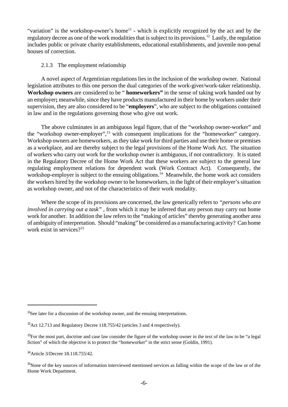"variation" is the workshop-owner's home<sup>11</sup> - which is explicitly recognized by the act and by the regulatory decree as one of the work modalities that is subject to its provisions.<sup>12</sup> Lastly, the regulation includes public or private charity establishments, educational establishments, and juvenile non-penal houses of correction.

#### 2.1.3 The employment relationship

A novel aspect of Argentinian regulations lies in the inclusion of the workshop owner. National legislation attributes to this one person the dual categories of the work-giver/work-taker relationship. **Workshop owners** are considered to be " **homeworkers"** in the sense of taking work handed out by an employer**;** meanwhile, since they have products manufactured in their home by workers under their supervision, they are also considered to be "**employers**", who are subject to the obligations contained in law and in the regulations governing those who give out work.

The above culminates in an ambiguous legal figure, that of the "workshop owner-worker" and the "workshop owner-employer",<sup>13</sup> with consequent implications for the "homeworker" category. Workshop owners are homeworkers, asthey take work for third parties and use their home or premises as a workplace, and are thereby subject to the legal provisions of the Home Work Act. The situation of workers who carry out work for the workshop owner is ambiguous, if not contradictory. It is stated in the Regulatory Decree of the Home Work Act that these workers are subject to the general law regulating employment relations for dependent work (Work Contract Act). Consequently, the workshop-employer is subject to the ensuing obligations.<sup>14</sup> Meanwhile, the home work act considers the workers hired by the workshop owner to be homeworkers, in the light of their employer's situation as workshop owner, and not of the characteristics of their work modality.

Where the scope of its provisions are concerned, the law generically refers to *"persons who are involved in carrying out a task"* , from which it may be inferred that any person may carry out home work for another. In addition the law refers to the "making of articles" thereby generating another area of ambiguity of interpretation. Should "making" be considered as a manufacturing activity? Can home work exist in services?<sup>15</sup>

<sup>&</sup>lt;sup>11</sup>See later for a discussion of the workshop owner, and the ensuing interpretations.

 $12$ Act 12.713 and Regulatory Decree 118.755/42 (articles 3 and 4 respectively).

 $13$ For the most part, doctrine and case law consider the figure of the workshop owner in the text of the law to be "a legal" fiction" of which the objective is to protect the "homeworker" in the strict sense (Goldín, 1991).

<sup>14</sup>Article 3/Decree 18.118.755/42.

<sup>&</sup>lt;sup>15</sup>None of the key sources of information interviewed mentioned services as falling within the scope of the law or of the Home Work Department.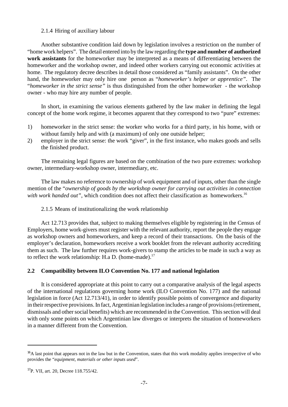#### 2.1.4 Hiring of auxiliary labour

Another substantive condition laid down by legislation involves a restriction on the number of "homework helpers". The detail entered into by the law regarding the **type and number of authorized work assistants** for the homeworker may be interpreted as a means of differentiating between the homeworker and the workshop owner, and indeed other workers carrying out economic activities at home. The regulatory decree describes in detail those considered as "family assistants". On the other hand, the homeworker may only hire one person as "*homeworker's helper or apprentice"*. The "*homeworker in the strict sense"* is thus distinguished from the other homeworker - the workshop owner - who may hire any number of people.

In short, in examining the various elements gathered by the law maker in defining the legal concept of the home work regime, it becomes apparent that they correspond to two "pure" extremes:

- 1) homeworker in the strict sense: the worker who works for a third party, in his home, with or without family help and with (a maximum) of only one outside helper;
- 2) employer in the strict sense: the work "giver", in the first instance, who makes goods and sells the finished product.

The remaining legal figures are based on the combination of the two pure extremes: workshop owner, intermediary-workshop owner, intermediary, etc.

The law makes no reference to ownership of work equipment and of inputs, other than the single mention of the "*ownership of goods by the workshop owner for carrying out activities in connection with work handed out"*, which condition does not affect their classification as homeworkers.<sup>16</sup>

2.1.5 Means of institutionalizing the work relationship

Act 12.713 provides that, subject to making themselves eligible by registering in the Census of Employers, home work-givers must register with the relevant authority, report the people they engage as workshop owners and homeworkers, and keep a record of their transactions. On the basis of the employer's declaration, homeworkers receive a work booklet from the relevant authority accrediting them as such. The law further requires work-givers to stamp the articles to be made in such a way as to reflect the work relationship: H.a D. (home-made).<sup>17</sup>

# **2.2 Compatibility between ILO Convention No. 177 and national legislation**

It is considered appropriate at this point to carry out a comparative analysis of the legal aspects of the international regulations governing home work (ILO Convention No. 177) and the national legislation in force (Act 12.713/41), in order to identify possible points of convergence and disparity in their respective provisions. In fact, Argentinian legislation includes a range of provisions (retirement, dismissals and other social benefits) which are recommended in the Convention. This section will deal with only some points on which Argentinian law diverges or interprets the situation of homeworkers in a manner different from the Convention.

 $<sup>16</sup>A$  last point that appears not in the law but in the Convention, states that this work modality applies irrespective of who</sup> provides the "*equipment, materials or other inputs used*".

<sup>&</sup>lt;sup>17</sup>P. VII, art. 20, Decree 118.755/42.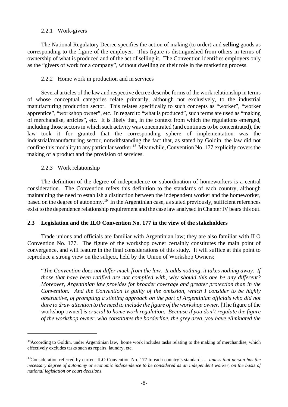#### 2.2.1 Work-givers

The National Regulatory Decree specifies the action of making (to order) and **selling** goods as corresponding to the figure of the employer. This figure is distinguished from others in terms of ownership of what is produced and of the act of selling it. The Convention identifies employers only as the "givers of work for a company", without dwelling on their role in the marketing process.

## 2.2.2 Home work in production and in services

Several articles of the law and respective decree describe forms of the work relationship in terms of whose conceptual categories relate primarily, although not exclusively, to the industrial manufacturing production sector. This relates specifically to such concepts as "worker", "worker apprentice", "workshop owner", etc. In regard to "what is produced", such terms are used as "making of merchandise, articles", etc. It is likely that, in the context from which the regulations emerged, including those sectors in which such activity was concentrated (and continues to be concentrated), the law took it for granted that the corresponding sphere of implementation was the industrial/manufacturing sector, notwithstanding the fact that, as stated by Goldín, the law did not confine this modality to any particular worker.<sup>18</sup> Meanwhile, Convention No. 177 explicitly covers the making of a product and the provision of services.

#### 2.2.3 Work relationship

The definition of the degree of independence or subordination of homeworkers is a central consideration. The Convention refers this definition to the standards of each country, although maintaining the need to establish a distinction between the independent worker and the homeworker, based on the degree of autonomy.<sup>19</sup> In the Argentinian case, as stated previously, sufficient references exist to the dependence relationship requirement and the case law analysed in Chapter IV bears this out.

# **2.3 Legislation and the ILO Convention No. 177 in the view of the stakeholders**

Trade unions and officials are familiar with Argentinian law; they are also familiar with ILO Convention No. 177. The figure of the workshop owner certainly constitutes the main point of convergence, and will feature in the final considerations of this study. It will suffice at this point to reproduce a strong view on the subject, held by the Union of Workshop Owners:

"*The Convention does not differ much from the law. It adds nothing, it takes nothing away. If those that have been ratified are not complied with, why should this one be any different? Moreover, Argentinian law provides for broader coverage and greater protection than in the Convention. And the Convention is guilty of the omission, which I consider to be highly obstructive, of prompting a stinting approach on the part of Argentinian officials who did not dare to draw attention to the need to include the figure of the workshop owner.* [The figure of the workshop owner] *is crucial to home work regulation. Because if you don't regulate the figure of the workshop owner, who constitutes the borderline, the grey area, you have eliminated the*

<sup>&</sup>lt;sup>18</sup> According to Goldín, under Argentinian law, home work includes tasks relating to the making of merchandise, which effectively excludes tasks such as repairs, laundry, etc.

<sup>19</sup>Consideration referred by current ILO Convention No. 177 to each country's standards ... *unless that person has the necessary degree of autonomy or economic independence to be considered as an independent worker, on the basis of national legislation or court decisions.*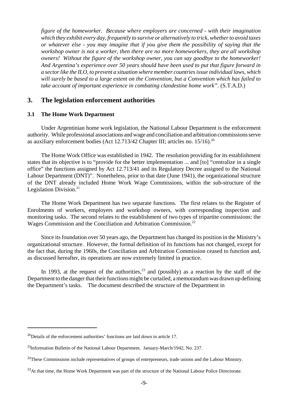*figure of the homeworker. Because where employers are concerned - with their imagination which they exhibit every day, frequently to survive or alternatively to trick, whetherto avoid taxes or whatever else - you may imagine that if you give them the possibility of saying that the workshop owner is not a worker, then there are no more homeworkers, they are all workshop owners! Without the figure of the workshop owner, you can say goodbye to the homeworker! And Argentina's experience over 50 years should have been used to put that figure forward in a sectorlike the ILO, to prevent a situation where member countriesissue individual laws, which will surely be based to a large extent on the Convention, but a Convention which has failed to take account of important experience in combating clandestine home work".* (S.T.A.D.)

# **3. The legislation enforcement authorities**

#### **3.1 The Home Work Department**

Under Argentinian home work legislation, the National Labour Department is the enforcement authority. While professional associations and wage and conciliation and arbitration commissions serve as auxiliary enforcement bodies (Act  $12.713/42$  Chapter III; articles no.  $15/16$ ).<sup>20</sup>

The Home Work Office was established in 1942. The resolution providing for its establishment states that its objective is to "provide for the better implementation ... and [to] "centralize in a single office" the functions assigned by Act 12.713/41 and its Regulatory Decree assigned to the National Labour Department (DNT)". Nonetheless, prior to that date (June 1941), the organizational structure of the DNT already included Home Work Wage Commissions, within the sub-structure of the Legislation Division. $21$ 

The Home Work Department has two separate functions. The first relates to the Register of Enrolments of workers, employers and workshop owners, with corresponding inspection and monitoring tasks. The second relates to the establishment of two types of tripartite commissions: the Wages Commission and the Conciliation and Arbitration Commission.<sup>22</sup>

Since its foundation over 50 years ago, the Department has changed its position in the Ministry's organizational structure. However, the formal definition of its functions has not changed, except for the fact that, during the 1960s, the Conciliation and Arbitration Commission ceased to function and, as discussed hereafter, its operations are now extremely limited in practice.

In 1993, at the request of the authorities,  $2<sup>3</sup>$  and (possibly) as a reaction by the staff of the Department to the danger that their functions might be curtailed, a memorandum was drawn up defining the Department's tasks. The document described the structure of the Department in

<sup>&</sup>lt;sup>20</sup>Details of the enforcement authorities' functions are laid down in article 17.

<sup>&</sup>lt;sup>21</sup>Information Bulletin of the National Labour Department. January-March/1942, No. 237.

<sup>&</sup>lt;sup>22</sup>These Commissions include representatives of groups of entrepreneurs, trade unions and the Labour Ministry.

<sup>&</sup>lt;sup>23</sup>At that time, the Home Work Department was part of the structure of the National Labour Police Directorate.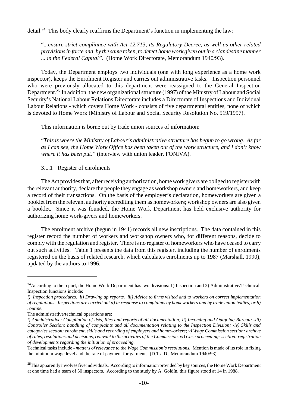detail.<sup>24</sup> This body clearly reaffirms the Department's function in implementing the law:

"*...ensure strict compliance with Act 12.713, its Regulatory Decree, as well as other related provisionsin force and, by the same token, to detect home work given out in a clandestine manner ... in the Federal Capital".* (Home Work Directorate, Memorandum 1940/93).

Today, the Department employs two individuals (one with long experience as a home work inspector), keeps the Enrolment Register and carries out administrative tasks. Inspection personnel who were previously allocated to this department were reassigned to the General Inspection Department.<sup>25</sup> In addition, the new organizational structure (1997) of the Ministry of Labour and Social Security's National Labour Relations Directorate includes a Directorate of Inspections and Individual Labour Relations - which covers Home Work - consists of five departmental entities, none of which is devoted to Home Work (Ministry of Labour and Social Security Resolution No. 519/1997).

This information is borne out by trade union sources of information:

"*This is where the Ministry of Labour's administrative structure has begun to go wrong. As far as I can see, the Home Work Office has been taken out of the work structure, and I don't know where it has been put."* (interview with union leader, FONIVA).

3.1.1 Register of enrolments

The Act provides that, after receiving authorization, home work givers are obliged to register with the relevant authority, declare the people they engage as workshop owners and homeworkers, and keep a record of their transactions. On the basis of the employer's declaration, homeworkers are given a booklet from the relevant authority accrediting them as homeworkers; workshop owners are also given a booklet. Since it was founded, the Home Work Department has held exclusive authority for authorizing home work-givers and homeworkers.

The enrolment archive (begun in 1941) records all new inscriptions. The data contained in this register record the number of workers and workshop owners who, for different reasons, decide to comply with the regulation and register. There is no register of homeworkers who have ceased to carry out such activities. Table 1 presents the data from this register, including the number of enrolments registered on the basis of related research, which calculates enrolments up to 1987 (Marshall, 1990), updated by the authors to 1996.

<sup>&</sup>lt;sup>24</sup> According to the report, the Home Work Department has two divisions: 1) Inspection and 2) Administrative/Technical. Inspection functions include:

*i) Inspection procedures. ii) Drawing up reports. iii) Advice to firms visited and to workers on correct implementation of regulations. Inspections are carried out a) in response to complaints by homeworkers and by trade union bodies, or b) routine.*

The administrative/technical operations are:

i) Administrative; Compilation of lists, files and reports of all documentation; ii) Incoming and Outgoing Bureau; -iii) *Controller Section: handling of complaints and all documentation relating to the Inspection Division; -iv) Skills and categories section: enrolment, skills and recording of employers and homeworkers; v) Wage Commission section: archive* of rates, resolutions and decisions, relevant to the activities of the Commission. vi) Case proceedings section: registration *of developments regarding the initiation of proceeding.*

Technical tasks include - *matters of relevance to the Wage Commission'sresolutions.* Mention is made of its role in fixing the minimum wage level and the rate of payment for garments. (D.T.a.D., Memorandum 1940/93).

 $^{25}$ This apparently involves five individuals. According to information provided by key sources, the Home Work Department at one time had a team of 50 inspectors. According to the study by A. Goldín, this figure stood at 14 in 1988.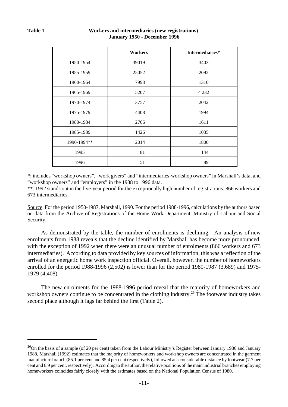|             | <b>Workers</b> | Intermediaries* |
|-------------|----------------|-----------------|
| 1950-1954   | 39019          | 3403            |
| 1955-1959   | 25052          | 2092            |
| 1960-1964   | 7993           | 1310            |
| 1965-1969   | 5207           | 4 2 3 2         |
| 1970-1974   | 3757           | 2042            |
| 1975-1979   | 4408           | 1994            |
| 1980-1984   | 2706           | 1611            |
| 1985-1989   | 1426           | 1035            |
| 1990-1994** | 2014           | 1800            |
| 1995        | 81             | 144             |
| 1996        | 51             | 89              |

#### **Table 1 Workers and intermediaries (new registrations) January 1950 - December 1996**

\*: includes "workshop owners", "work givers" and "intermediaries-workshop owners" in Marshall's data, and "workshop owners" and "employers" in the 1988 to 1996 data.

\*\*: 1992 stands out in the five-year period for the exceptionally high number of registrations: 866 workers and 673 intermediaries.

Source: For the period 1950-1987, Marshall, 1990. For the period 1988-1996, calculations by the authors based on data from the Archive of Registrations of the Home Work Department, Ministry of Labour and Social Security.

As demonstrated by the table, the number of enrolments is declining. An analysis of new enrolments from 1988 reveals that the decline identified by Marshall has become more pronounced, with the exception of 1992 when there were an unusual number of enrolments (866 workers and 673 intermediaries). According to data provided by key sources of information, this was a reflection of the arrival of an energetic home work inspection official. Overall, however, the number of homeworkers enrolled for the period 1988-1996 (2,502) is lower than for the period 1980-1987 (3,689) and 1975- 1979 (4,408).

The new enrolments for the 1988-1996 period reveal that the majority of homeworkers and workshop owners continue to be concentrated in the clothing industry.<sup>26</sup> The footwear industry takes second place although it lags far behind the first (Table 2).

<sup>&</sup>lt;sup>26</sup>On the basis of a sample (of 20 per cent) taken from the Labour Ministry's Register between January 1986 and January 1988, Marshall (1992) estimates that the majority of homeworkers and workshop owners are concentrated in the garment manufacture branch (85.1 per cent and 85.4 per cent respectively), followed at a considerable distance by footwear (7.7 per cent and 6.9 per cent, respectively). According to the author, the relative positions of the main industrial branches employing homeworkers coincides fairly closely with the estimates based on the National Population Census of 1980.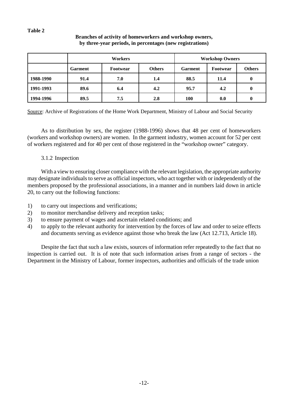#### **Table 2**

#### **Branches of activity of homeworkers and workshop owners, by three-year periods, in percentages (new registrations)**

|           | <b>Workers</b> |          |               | <b>Workshop Owners</b> |          |               |
|-----------|----------------|----------|---------------|------------------------|----------|---------------|
|           | <b>Garment</b> | Footwear | <b>Others</b> | <b>Garment</b>         | Footwear | <b>Others</b> |
| 1988-1990 | 91.4           | 7.0      | 1.4           | 88.5                   | 11.4     | 0             |
| 1991-1993 | 89.6           | 6.4      | 4.2           | 95.7                   | 4.2      | 0             |
| 1994-1996 | 89.5           | 7.5      | 2.8           | 100                    | 0.0      | 0             |

Source: Archive of Registrations of the Home Work Department, Ministry of Labour and Social Security

As to distribution by sex, the register (1988-1996) shows that 48 per cent of homeworkers (workers and workshop owners) are women. In the garment industry, women account for 52 per cent of workers registered and for 40 per cent of those registered in the "workshop owner" category.

# 3.1.2 Inspection

With a view to ensuring closer compliance with the relevant legislation, the appropriate authority may designate individuals to serve as official inspectors, who act together with or independently of the members proposed by the professional associations, in a manner and in numbers laid down in article 20, to carry out the following functions:

- 1) to carry out inspections and verifications;
- 2) to monitor merchandise delivery and reception tasks;
- 3) to ensure payment of wages and ascertain related conditions; and
- 4) to apply to the relevant authority for intervention by the forces of law and order to seize effects and documents serving as evidence against those who break the law (Act 12.713, Article 18).

Despite the fact that such a law exists, sources of information refer repeatedly to the fact that no inspection is carried out. It is of note that such information arises from a range of sectors - the Department in the Ministry of Labour, former inspectors, authorities and officials of the trade union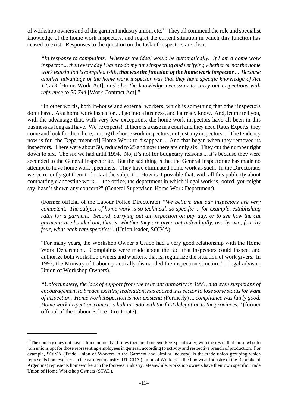of workshop owners and of the garment industry union, etc.<sup>27</sup> They all commend the role and specialist knowledge of the home work inspectors, and regret the current situation in which this function has ceased to exist. Responses to the question on the task of inspectors are clear:

*"In response to complaints. Whereas the ideal would be automatically. If I am a home work inspector... then every day I have to do my time inspecting and verifying whether or not the home work legislation is complied with, that wasthe function of the home work inspector... Because another advantage of the home work inspector was that they have specific knowledge of Act 12.713* [Home Work Act], *and also the knowledge necessary to carry out inspections with reference to 20.744* [Work Contract Act]."

"In other words, both in-house and external workers, which is something that other inspectors don't have. As a home work inspector ... I go into a business, and I already know. And, let me tell you, with the advantage that, with very few exceptions, the home work inspectors have all been in this business aslong asI have. We're experts! If there is a case in a court and they need Rates Experts, they come and look for them here, among the home work inspectors, not just any inspectors... The tendency now is for [the Department of] Home Work to disappear ... And that began when they removed us inspectors. There were about 50, reduced to 25 and now there are only six. They cut the number right down to six. The six we had until 1994. No, it's not for budgetary reasons ... it's because they were seconded to the General Inspectorate. But the sad thing is that the General Inspectorate has made no attempt to have home work specialists. They have eliminated home work as such. In the Directorate, we've recently got them to look at the subject ... How is it possible that, with all this publicity about combatting clandestine work ... the office, the department in which illegal work is rooted, you might say, hasn't shown any concern?" (General Supervisor. Home Work Department).

(Former official of the Labour Police Directorate) *"We believe that our inspectors are very competent. The subject of home work is so technical, so specific ... for example, establishing rates for a garment. Second, carrying out an inspection on pay day, or to see how the cut garments are handed out, that is, whether they are given out individually, two by two, four by four, what each rate specifies".* (Union leader, SOIVA).

"For many years, the Workshop Owner's Union had a very good relationship with the Home Work Department. Complaints were made about the fact that inspectors could inspect and authorize both workshop owners and workers, that is, regularize the situation of work givers. In 1993, the Ministry of Labour practically dismantled the inspection structure." (Legal advisor, Union of Workshop Owners).

*"Unfortunately, the lack of support from the relevant authority in 1993, and even suspicions of encouragement to breach existing legislation, has caused thissectorto lose some statusfor want of inspection. Home work inspection is non-existent! (*Formerly) ... *compliance was fairly good. Home work inspection came to a halt in 1986 with the first delegation to the provinces."* (former official of the Labour Police Directorate).

<sup>&</sup>lt;sup>27</sup>The country does not have a trade union that brings together homeworkers specifically, with the result that those who do join unions opt for those representing employees in general, according to activity and respective branch of production. For example, SOIVA (Trade Union of Workers in the Garment and Similar Industry) is the trade union grouping which represents homeworkers in the garment industry; UTICRA (Union of Workers in the Footwear Industry of the Republic of Argentina) represents homeworkers in the footwear industry. Meanwhile, workshop owners have their own specific Trade Union of Home Workshop Owners (STAD).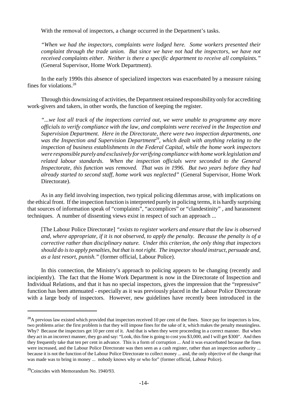With the removal of inspectors, a change occurred in the Department's tasks.

*"When we had the inspectors, complaints were lodged here. Some workers presented their complaint through the trade union. But since we have not had the inspectors, we have not received complaints either. Neither is there a specific department to receive all complaints."* (General Supervisor, Home Work Department).

In the early 1990s this absence of specialized inspectors was exacerbated by a measure raising fines for violations.<sup>28</sup>

Through this downsizing of activities, the Department retained responsibility only for accrediting work-givers and takers, in other words, the function of keeping the register.

*"...we lost all track of the inspections carried out, we were unable to programme any more officials to verify compliance with the law, and complaints were received in the Inspection and Supervision Department. Here in the Directorate, there were two inspection departments, one was the Inspection and Supervision Department<sup>29</sup>* , *which dealt with anything relating to the inspection of business establishments in the Federal Capital, while the home work inspectors were responsible purely and exclusively for verifying compliancewith homework legislation and related labour standards. When the inspection officials were seconded to the General Inspectorate, this function was removed. That was in 1996. But two years before they had already started to second staff, home work was neglected"* (General Supervisor, Home Work Directorate).

As in any field involving inspection, two typical policing dilemmas arose, with implications on the ethical front. If the inspection function is interpreted purely in policing terms, it is hardly surprising that sources of information speak of "complaints", "accomplices" or "clandestinity" , and harassment techniques. A number of dissenting views exist in respect of such an approach ...

[The Labour Police Directorate] *"exists to register workers and ensure that the law is observed and, where appropriate, if it is not observed, to apply the penalty. Because the penalty is of a corrective rather than disciplinary nature. Under this criterion, the only thing that inspectors should do isto apply penalties, but that is notright. The inspector should instruct, persuade and, as a last resort, punish."* (former official, Labour Police).

In this connection, the Ministry's approach to policing appears to be changing (recently and incipiently). The fact that the Home Work Department is now in the Directorate of Inspection and Individual Relations, and that it has no special inspectors, gives the impression that the "repressive" function has been attenuated - especially as it was previously placed in the Labour Police Directorate with a large body of inspectors. However, new guidelines have recently been introduced in the

<sup>&</sup>lt;sup>28</sup>A previous law existed which provided that inspectors received 10 per cent of the fines. Since pay for inspectors is low, two problems arise: the first problem is that they will impose fines for the sake of it, which makes the penalty meaningless. Why? Because the inspectors get 10 per cent of it. And that is when they were proceeding in a correct manner. But when they act in an incorrect manner, they go and say: "Look, this fine is going to cost you \$3,000, and I will get \$300". And then they frequently take that ten per cent in advance. This is a form of corruption ... And it was exacerbated because the fines were increased, and the Labour Police Directorate was then seen as a cash register, rather than an inspection authority ... because it is not the function of the Labour Police Directorate to collect money ... and, the only objective of the change that was made was to bring in money ... nobody knows why or who for" (former official, Labour Police).

<sup>29</sup>Coincides with Memorandum No. 1940/93.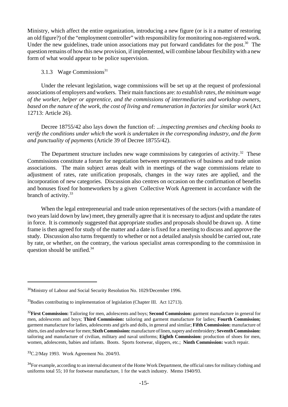Ministry, which affect the entire organization, introducing a new figure (or is it a matter of restoring an old figure?) of the "employment controller" with responsibility for monitoring non-registered work. Under the new guidelines, trade union associations may put forward candidates for the post.<sup>30</sup> The question remains of how this new provision, ifimplemented, will combine labour flexibilitywith a new form of what would appear to be police supervision.

## 3.1.3 Wage Commissions<sup>31</sup>

Under the relevant legislation, wage commissions will be set up at the request of professional associations of employers and workers. Their main functions are: *to establish rates, the minimum wage of the worker, helper or apprentice, and the commissions of intermediaries and workshop owners,* based on the nature of the work, the cost of living and remuneration in factories for similar work (Act 12713: Article 26).

Decree 18755/42 also lays down the function of: ...*inspecting premises and checking books to verify the conditions under which the work is undertaken in the corresponding industry, and the form and punctuality of payments* (Article 39 of Decree 18755/42).

The Department structure includes new wage commissions by categories of activity.<sup>32</sup> These Commissions constitute a forum for negotiation between representatives of business and trade union associations. The main subject areas dealt with in meetings of the wage commissions relate to adjustment of rates, rate unification proposals, changes in the way rates are applied, and the incorporation of new categories. Discussion also centres on occasion on the confirmation of benefits and bonuses fixed for homeworkers by a given Collective Work Agreement in accordance with the branch of activity.<sup>33</sup>

When the legal entrepreneurial and trade union representatives of the sectors (with a mandate of two yearslaid down by law) meet, they generally agree that it is necessary to adjust and update the rates in force. It is commonly suggested that appropriate studies and proposals should be drawn up. A time frame is then agreed for study of the matter and a date is fixed for a meeting to discuss and approve the study. Discussion also turns frequently to whether or not a detailed analysis should be carried out, rate by rate, or whether, on the contrary, the various specialist areas corresponding to the commission in question should be unified.<sup>34</sup>

<sup>&</sup>lt;sup>30</sup>Ministry of Labour and Social Security Resolution No. 1029/December 1996.

<sup>&</sup>lt;sup>31</sup>Bodies contributing to implementation of legislation (Chapter III. Act 12713).

<sup>32</sup>**First Commission:** Tailoring for men, adolescents and boys; **Second Commission:** garment manufacture in general for men, adolescents and boys; **Third Commission:** tailoring and garment manufacture for ladies; **Fourth Commission;** garment manufacture for ladies, adolescents and girls and dolls, in general and similar; **Fifth Commission:** manufacture of shirts, ties and underwearformen;**SixthCommission:**manufacture of linen, napery and embroidery;**SeventhCommission:** tailoring and manufacture of civilian, military and naval uniforms; **Eighth Commission:** production of shoes for men, women, adolescents, babies and infants. Boots. Sports footwear, slippers, etc.; **Ninth Commission:** watch repair.

<sup>33</sup>C.2/May 1993. Work Agreement No. 204/93.

<sup>&</sup>lt;sup>34</sup>For example, according to an internal document of the Home Work Department, the official rates for military clothing and uniforms total 55; 10 for footwear manufacture, 1 for the watch industry. Memo 1940/93.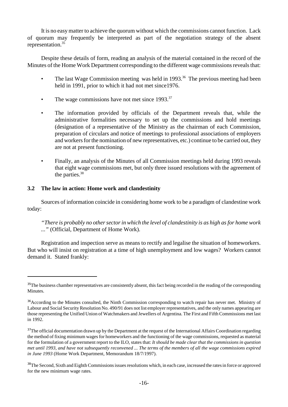It is no easymatter to achieve the quorum without which the commissions cannot function. Lack of quorum may frequently be interpreted as part of the negotiation strategy of the absent representation.<sup>35</sup>

Despite these details of form, reading an analysis of the material contained in the record of the Minutes of the Home Work Department corresponding to the different wage commissions reveals that:

- The last Wage Commission meeting was held in 1993.<sup>36</sup> The previous meeting had been held in 1991, prior to which it had not met since 1976.
- The wage commissions have not met since  $1993$ <sup>37</sup>
- The information provided by officials of the Department reveals that, while the administrative formalities necessary to set up the commissions and hold meetings (designation of a representative of the Ministry as the chairman of each Commission, preparation of circulars and notice of meetings to professional associations of employers and workers for the nomination of new representatives, etc.) continue to be carried out, they are not at present functioning.
- Finally, an analysis of the Minutes of all Commission meetings held during 1993 reveals that eight wage commissions met, but only three issued resolutions with the agreement of the parties.<sup>38</sup>

#### **3.2 The law in action: Home work and clandestinity**

Sources of information coincide in considering home work to be a paradigm of clandestine work today:

*"There is probably no othersectorin which the level of clandestinity is as high asfor home work ..."* (Official, Department of Home Work).

Registration and inspection serve as means to rectify and legalise the situation of homeworkers. But who will insist on registration at a time of high unemployment and low wages? Workers cannot demand it. Stated frankly:

<sup>&</sup>lt;sup>35</sup>The business chamber representatives are consistently absent, this fact being recorded in the reading of the corresponding Minutes.

<sup>&</sup>lt;sup>36</sup>According to the Minutes consulted, the Ninth Commission corresponding to watch repair has never met. Ministry of Labour and Social Security Resolution No. 490/91 does not list employer representatives, and the only names appearing are those representing the Unified Union of Watchmakers and Jewellers of Argentina. The First and Fifth Commissions met last in 1992.

<sup>&</sup>lt;sup>37</sup>The official documentation drawn up by the Department at the request of the International Affairs Coordination regarding the method of fixing minimum wages for homeworkers and the functioning of the wage commissions, requested as material for the formulation of a government report to the ILO, states that: *It should be made clear that the commissions in question met until 1993, and have not subsequently reconvened ... The terms of the members of all the wage commissions expired in June 1993* (Home Work Department, Memorandum 18/7/1997).

<sup>&</sup>lt;sup>38</sup>The Second, Sixth and Eighth Commissions issues resolutions which, in each case, increased the rates in force or approved for the new minimum wage rates.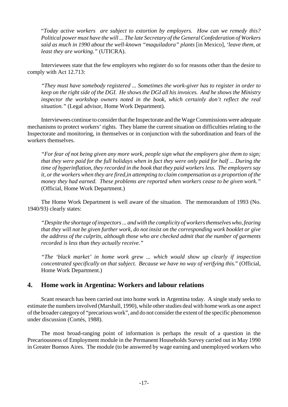"*Today active workers are subject to extortion by employers. How can we remedy this? Political power must have the will ... The late Secretary of the General Confederation of Workers said as much in 1990 about the well-known "maquiladora" plants* [in Mexico], *'leave them, at least they are working."* (UTICRA).

Interviewees state that the few employers who register do so for reasons other than the desire to comply with Act 12.713:

*"They must have somebody registered ... Sometimes the work-giver has to register in order to keep on the right side of the DGI. He shows the DGI all his invoices. And he shows the Ministry inspector the workshop owners noted in the book, which certainly don't reflect the real situation."* (Legal advisor, Home Work Department).

Interviewees continue to consider that the Inspectorate and the Wage Commissions were adequate mechanisms to protect workers' rights. They blame the current situation on difficulties relating to the Inspectorate and monitoring, in themselves or in conjunction with the subordination and fears of the workers themselves.

*"For fear of not being given any more work, people sign what the employers give them to sign; that they were paid for the full holidays when in fact they were only paid for half ... During the time of hyperinflation, they recorded in the book that they paid workers less. The employers say it, orthe workers when they are fired,in attempting to claim compensation as a proportion of the money they had earned. These problems are reported when workers cease to be given work."* (Official, Home Work Department.)

The Home Work Department is well aware of the situation. The memorandum of 1993 (No. 1940/93) clearly states:

*"Despite the shortage of inspectors... andwith the complicity ofworkersthemselveswho, fearing that they will not be given further work, do not insist on the corresponding work booklet or give the address of the culprits, although those who are checked admit that the number of garments recorded is less than they actually receive."*

*"The 'black market' in home work grew ... which would show up clearly if inspection concentrated specifically on that subject. Because we have no way of verifying this.*" (Official, Home Work Department.)

# **4. Home work in Argentina: Workers and labour relations**

Scant research has been carried out into home work in Argentina today. A single study seeks to estimate the numbers involved (Marshall, 1990), while other studies deal with home work as one aspect ofthe broader categoryof "precarious work", and do not considerthe extent ofthe specific phenomenon under discussion (Cortés, 1988).

The most broad-ranging point of information is perhaps the result of a question in the Precariousness of Employment module in the Permanent Households Survey carried out in May 1990 in Greater Buenos Aires. The module (to be answered by wage earning and unemployed workers who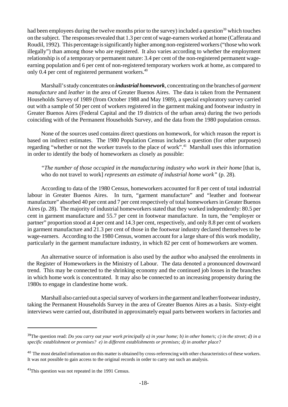had been employees during the twelve months prior to the survey) included a question<sup>39</sup> which touches on the subject. The responses revealed that 1.3 per cent of wage-earners worked at home (Cafferata and Roudil, 1992). This percentage is significantly higher among non-registered workers ("those who work illegally") than among those who are registered. It also varies according to whether the employment relationship is of a temporary or permanent nature: 3.4 per cent of the non-registered permanent wageearning population and 6 per cent of non-registered temporary workers work at home, as compared to only 0.4 per cent of registered permanent workers.<sup>40</sup>

Marshall's study concentrates on *industrial homework*, concentrating on the branches of *garment manufacture* and *leather* in the area of Greater Buenos Aires. The data is taken from the Permanent Households Survey of 1989 (from October 1988 and May 1989), a special exploratory survey carried out with a sample of 50 per cent of workers registered in the garment making and footwear industry in Greater Buenos Aires (Federal Capital and the 19 districts of the urban area) during the two periods coinciding with of the Permanent Households Survey, and the data from the 1980 population census.

None of the sources used contains direct questions on homework, for which reason the report is based on indirect estimates. The 1980 Population Census includes a question (for other purposes) regarding "whether or not the worker travels to the place of work".<sup>41</sup> Marshall uses this information in order to identify the body of homeworkers as closely as possible:

*"The number of those occupied in the manufacturing industry who work in their home* [that is, who do not travel to work] *represents an estimate of industrial home work"* (p. 28).

According to data of the 1980 Census, homeworkers accounted for 8 per cent of total industrial labour in Greater Buenos Aires. In turn, "garment manufacture" and "leather and footwear manufacture" absorbed 40 per cent and 7 per cent respectively of total homeworkersin Greater Buenos Aires(p. 28). The majority of industrial homeworkers stated that they worked independently: 80.5 per cent in garment manufacture and 55.7 per cent in footwear manufacture. In turn, the "employer or partner" proportion stood at 4 per cent and 14.3 per cent, respectively, and only 8.8 per cent of workers in garment manufacture and 21.3 per cent of those in the footwear industry declared themselves to be wage-earners. According to the 1980 Census, women account for a large share of this work modality, particularly in the garment manufacture industry, in which 82 per cent of homeworkers are women.

An alternative source of information is also used by the author who analysed the enrolments in the Register of Homeworkers in the Ministry of Labour. The data denoted a pronounced downward trend. This may be connected to the shrinking economy and the continued job losses in the branches in which home work is concentrated. It may also be connected to an increasing propensity during the 1980s to engage in clandestine home work.

Marshall also carried out a special survey of workers in the garment and leather/footwear industry, taking the Permanent Households Survey in the area of Greater Buenos Aires as a basis. Sixty-eight interviews were carried out, distributed in approximately equal parts between workers in factories and

<sup>39</sup>The question read: *Do you carry out your work principally a) in your home; b) in other home/s; c) in the street; d) in a specific establishment or premises? e) in different establishments or premises; d) in another place?*

<sup>&</sup>lt;sup>40</sup> The most detailed information on this matter is obtained by cross-referencing with other characteristics of these workers. It was not possible to gain access to the original records in order to carry out such an analysis.

<sup>41</sup>This question was not repeated in the 1991 Census.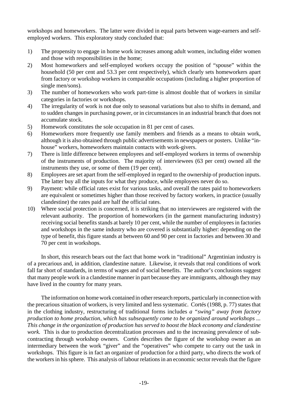workshops and homeworkers. The latter were divided in equal parts between wage-earners and selfemployed workers. This exploratory study concluded that:

- 1) The propensity to engage in home work increases among adult women, including elder women and those with responsibilities in the home;
- 2) Most homeworkers and self-employed workers occupy the position of "spouse" within the household (50 per cent and 53.3 per cent respectively), which clearly sets homeworkers apart from factory or workshop workers in comparable occupations (including a higher proportion of single men/sons).
- 3) The number of homeworkers who work part-time is almost double that of workers in similar categories in factories or workshops.
- 4) The irregularity of work is not due only to seasonal variations but also to shifts in demand, and to sudden changes in purchasing power, or in circumstances in an industrial branch that does not accumulate stock.
- 5) Homework constitutes the sole occupation in 81 per cent of cases.
- 6) Homeworkers more frequently use family members and friends as a means to obtain work, although it is also obtained through public advertisements in newspapers or posters. Unlike "inhouse" workers, homeworkers maintain contacts with work-givers.
- 7) There is little difference between employees and self-employed workers in terms of ownership of the instruments of production. The majority of interviewees (63 per cent) owned all the instruments they use, or some of them (19 per cent).
- 8) Employees are set apart from the self-employed in regard to the ownership of production inputs. The latter buy all the inputs for what they produce, while employees never do so.
- 9) Payment: while official rates exist for various tasks, and overall the rates paid to homeworkers are equivalent or sometimes higher than those received by factory workers, in practice (usually clandestine) the rates paid are half the official rates.
- 10) Where social protection is concerned, it is striking that no interviewees are registered with the relevant authority. The proportion of homeworkers (in the garment manufacturing industry) receiving social benefits stands at barely 10 per cent, while the number of employees in factories and workshops in the same industry who are covered is substantially higher: depending on the type of benefit, this figure stands at between 60 and 90 per cent in factories and between 30 and 70 per cent in workshops.

In short, this research bears out the fact that home work in "traditional" Argentinian industry is of a precarious and, in addition, clandestine nature. Likewise, it reveals that real conditions of work fall far short of standards, in terms of wages and of social benefits. The author's conclusions suggest that many people work in a clandestine manner in part because they are immigrants, although they may have lived in the country for many years.

The information on home work contained in other research reports, particularly in connection with the precarious situation of workers, is very limited and less systematic. Cortés (1988, p. 77) states that in the clothing industry, restructuring of traditional forms includes *a "swing" away from factory production to home production, which has subsequently come to be organized around workshops ... This change in the organization of production has served to boost the black economy and clandestine work*. This is due to production decentralization processes and to the increasing prevalence of subcontracting through workshop owners. Cortés describes the figure of the workshop owner as an intermediary between the work "giver" and the "operatives" who compete to carry out the task in workshops. This figure is in fact an organizer of production for a third party, who directs the work of the workersin hissphere. This analysis of labour relations in an economic sector reveals that the figure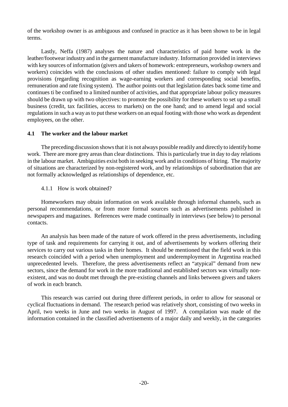of the workshop owner is as ambiguous and confused in practice as it has been shown to be in legal terms.

Lastly, Neffa (1987) analyses the nature and characteristics of paid home work in the leather/footwear industry and in the garment manufacture industry. Information provided in interviews with key sources of information (givers and takers of homework: entrepreneurs, workshop owners and workers) coincides with the conclusions of other studies mentioned: failure to comply with legal provisions (regarding recognition as wage-earning workers and corresponding social benefits, remuneration and rate fixing system). The author points out that legislation dates back some time and continues ti be confined to a limited number of activities, and that appropriate labour policy measures should be drawn up with two objectives: to promote the possibility for these workers to set up a small business (credit, tax facilities, access to markets) on the one hand; and to amend legal and social regulations in such a way as to put these workers on an equal footing with those who work as dependent employees, on the other.

#### **4.1 The worker and the labour market**

The preceding discussion showsthat it is not always possible readily and directly to identifyhome work. There are more grey areas than clear distinctions. This is particularly true in day to day relations in the labour market. Ambiguities exist both in seeking work and in conditions of hiring. The majority of situations are characterized by non-registered work, and by relationships of subordination that are not formally acknowledged as relationships of dependence, etc.

#### 4.1.1 How is work obtained?

Homeworkers may obtain information on work available through informal channels, such as personal recommendations, or from more formal sources such as advertisements published in newspapers and magazines. References were made continually in interviews (see below) to personal contacts.

An analysis has been made of the nature of work offered in the press advertisements, including type of task and requirements for carrying it out, and of advertisements by workers offering their services to carry out various tasks in their homes. It should be mentioned that the field work in this research coincided with a period when unemployment and underemployment in Argentina reached unprecedented levels. Therefore, the press advertisements reflect an "atypical" demand from new sectors, since the demand for work in the more traditional and established sectors was virtually nonexistent, and was no doubt met through the pre-existing channels and links between givers and takers of work in each branch.

This research was carried out during three different periods, in order to allow for seasonal or cyclical fluctuations in demand. The research period was relatively short, consisting of two weeks in April, two weeks in June and two weeks in August of 1997. A compilation was made of the information contained in the classified advertisements of a major daily and weekly, in the categories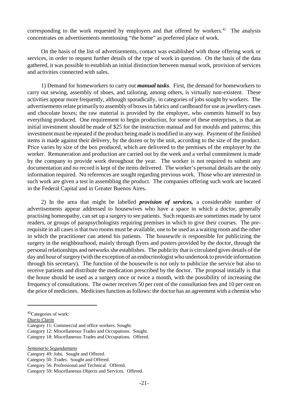corresponding to the work requested by employers and that offered by workers. $42$  The analysis concentrates on advertisements mentioning "the home" as preferred place of work.

On the basis of the list of advertisements, contact was established with those offering work or services, in order to request further details of the type of work in question. On the basis of the data gathered, it was possible to establish an initial distinction between manual work, provision of services and activities connected with sales.

1) Demand for homeworkers to carry out *manual tasks*. First, the demand for homeworkers to carry out sewing, assembly of shoes, and tailoring, among others, is virtually non-existent. These activities appear more frequently, although sporadically, in categories of jobs sought by workers. The advertisements relate primarily to assembly of boxes in fabrics and cardboard for use as jewellery cases and chocolate boxes; the raw material is provided by the employer, who commits himself to buy everything produced. One requirement to begin production, for some of these enterprises, is that an initial investment should be made of \$25 for the instruction manual and for moulds and patterns; this investment must be repeated if the product being made is modified in any way. Payment of the finished items is made against their delivery, by the dozen or by the unit, according to the size of the product. Price varies by size of the box produced, which are delivered to the premises of the employer by the worker. Remuneration and production are carried out by the week and a verbal commitment is made by the company to provide work throughout the year. The worker is not required to submit any documentation and no record is kept of the items delivered. The worker's personal details are the only information required. No references are sought regarding previous work. Those who are interested in such work are given a test in assembling the product. The companies offering such work are located in the Federal Capital and in Greater Buenos Aires.

2) In the area that might be labelled *provision of services,* a considerable number of advertisements appear addressed to housewives who have a space in which a doctor, generally practising homeopathy, can set up a surgery to see patients. Such requests are sometimes made by tarot readers, or groups of parapsychologists requiring premises in which to give their courses. The prerequisite in all casesisthat two rooms must be available, one to be used as a waiting room and the other in which the practitioner can attend his patients. The housewife is responsible for publicizing the surgery in the neighbourhood, mainly through flyers and posters provided by the doctor, through the personal relationships and networks she establishes. The publicity that is circulated gives details of the day and hour of surgery (with the exception of an endocrinologist who undertook to provide information through his secretary). The function of the housewife is not only to publicize the service but also to receive patients and distribute the medication prescribed by the doctor. The proposal initially is that the house should be used as a surgery once or twice a month, with the possibility of increasing the frequency of consultations. The owner receives 50 per cent of the consultation fees and 10 per cent on the price of medicines. Medicines function as follows: the doctor has an agreement with a chemist who

*Semanario Segundamano*

<sup>42</sup>Categories of work:

*Diario Clarin*

Category 11: Commercial and office workers. Sought.

Category 12: Miscellaneous Trades and Occupations. Sought.

Category 18: Miscellaneous Trades and Occupations. Offered.

Category 49: Jobs. Sought and Offered.

Category 50: Trades. Sought and Offered.

Category 56: Professional and Technical. Offered.

Category 59: Miscellaneous Objects and Services. Offered.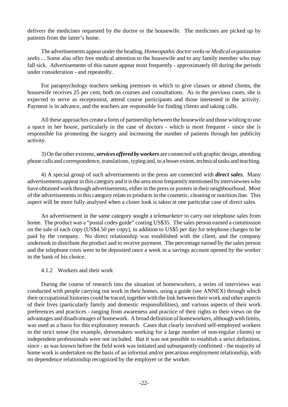delivers the medicines requested by the doctor or the housewife. The medicines are picked up by patients from the latter's home.

The advertisements appear under the heading,*Homeopathic doctorseeks* or *Medical organization seeks* ... Some also offer free medical attention to the housewife and to any family member who may fall sick. Advertisements of this nature appear most frequently - approximately 60 during the periods under consideration - and repeatedly.

For parapsychology teachers seeking premises in which to give classes or attend clients, the housewife receives 25 per cent, both on courses and consultations. As in the previous cases, she is expected to serve as receptionist, attend course participants and those interested in the activity. Payment is in advance, and the teachers are responsible for finding clients and taking calls.

All these approaches create a form of partnership between the housewife and those wishing to use a space in her house, particularly in the case of doctors - which is most frequent - since she is responsible for promoting the surgery and increasing the number of patients through her publicity activity.

3) On the other extreme,*services offered byworkers* are connected with graphic design, attending phone calls and correspondence, translations, typing and, to a lesser extent, technical tasks and teaching.

4) A special group of such advertisements in the press are connected with *direct sales*. Many advertisements appear in this category and it is the area most frequently mentioned by interviewees who have obtained work through advertisements, either in the press or posters in their neighbourhood. Most of the advertisementsin this category relate to productsin the cosmetic, cleaning or nutrition line. This aspect will be more fully analysed when a closer look is taken at one particular case of direct sales.

An advertisement in the same category sought a *telemarketer* to carry out telephone sales from home. The product was a "postal codes guide" costing US\$35. The sales person earned a commission on the sale of each copy (US\$4.50 per copy), in addition to US\$5 per day for telephone charges to be paid by the company. No direct relationship was established with the client, and the company undertook to distribute the product and to receive payment. The percentage earned by the sales person and the telephone costs were to be deposited once a week in a savings account opened by the worker in the bank of his choice.

#### 4.1.2 Workers and their work

During the course of research into the situation of homeworkers, a series of interviews was conducted with people carrying out work in their homes, using a guide (see ANNEX) through which their occupational histories could be traced, together with the link between their work and other aspects of their lives (particularly family and domestic responsibilities), and various aspects of their work preferences and practices - ranging from awareness and practice of their rights to their views on the advantages and disadvantages of homework. A broad definition of homeworkers, although with limits, was used as a basis for this exploratory research. Cases that clearly involved self-employed workers in the strict sense (for example, dressmakers working for a large number of non-regular clients) or independent professionals were not included. But it was not possible to establish a strict definition, since - as was known before the field work was initiated and subsequently confirmed - the majority of home work is undertaken on the basis of an informal and/or precarious employment relationship, with no dependence relationship recognized by the employer or the worker.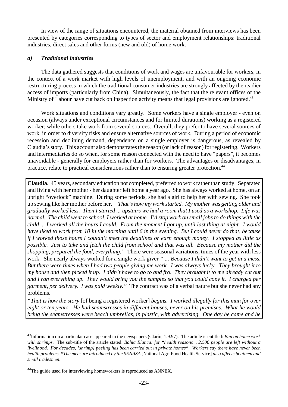In view of the range of situations encountered, the material obtained from interviews has been presented by categories corresponding to types of sector and employment relationships: traditional industries, direct sales and other forms (new and old) of home work.

#### *a) Traditional industries*

The data gathered suggests that conditions of work and wages are unfavourable for workers, in the context of a work market with high levels of unemployment, and with an ongoing economic restructuring process in which the traditional consumer industries are strongly affected by the readier access of imports (particularly from China). Simultaneously, the fact that the relevant offices of the Ministry of Labour have cut back on inspection activity means that legal provisions are ignored.<sup>43</sup>

Work situations and conditions vary greatly. Some workers have a single employer - even on occasion (always under exceptional circumstances and for limited durations) working as a registered worker; while others take work from several sources. Overall, they prefer to have several sources of work, in order to diversify risks and ensure alternative sources of work. During a period of economic recession and declining demand, dependence on a single employer is dangerous, as revealed by Claudia'sstory. This account also demonstrates the reason (or lack of reason) for registering. Workers and intermediaries do so when, for some reason connected with the need to have "papers", it becomes unavoidable - generally for employers rather than for workers. The advantages or disadvantages, in practice, relate to practical considerations rather than to ensuring greater protection.<sup>44</sup>

**Claudia.** 45 years, secondary education not completed, preferred to work rather than study. Separated and living with her mother - her daughter left home a year ago. She has always worked at home, on an upright "overlock" machine. During some periods, she had a girl to help her with sewing. She took up sewing like her mother before her. "*That's how my work started. My mother was getting older and gradually worked less. Then I started ... upstairs we had a room that I used as a workshop. Life was normal. The child went to school, I worked at home. I'd stop work on small jobs to do things with the child ... I worked all the hours I could. From the moment I got up, until last thing at night. I would have liked to work from 10 in the morning until 6 in the evening. But I could never do that, because if I worked those hours I couldn't meet the deadlines or earn enough money. I stopped as little as possible. Just to take and fetch the child from school and that was all. Because my mother did the shopping, prepared the food, everything."* There were seasonal variations, times of the year with less work. She nearly always worked for a single work giver *" ... Because I didn't want to get in a mess. But there were times when I had two people giving me work. I was always lucky. They brought it to my house and then picked it up. I didn't have to go to and fro. They brought it to me already cut out and I ran everything up. They would bring you the samples so that you could copy it. I charged per garment, per delivery. I was paid weekly."* The contract was of a verbal nature but she never had any problems.

*"That is how the story* [of being a registered worker] *begins. I worked illegally for this man for over eight or ten years. He had seamstresses in different houses, never on his premises. What he would bring the seamstresses were beach umbrellas, in plastic, with advertising. One day he came and he*

<sup>43</sup>Information on a particular case appeared in the newspapers (Clarín, 1.9.97). The article is entitled: *Ban on home work with shrimps*. The sub-title of the article stated: *Bahia Blanca: for "health reasons", 2,500 people are left without a livelihood. For decades, [shrimp] peeling has been carried out in private homes\* Workers say there have never been health problems. \*The measure introduced by the SENASA* [National Agri Food Health Service] *also affects boatmen and small tradesmen*.

<sup>&</sup>lt;sup>44</sup>The guide used for interviewing homeworkers is reproduced as ANNEX.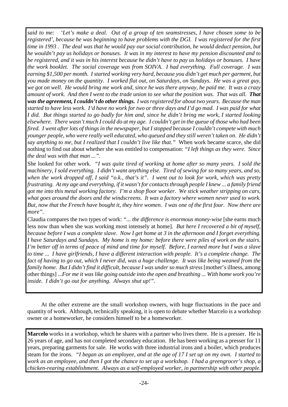*said to me: 'Let's make a deal. Out of a group of ten seamstresses, I have chosen some to be registered', because he was beginning to have problems with the DGI. I was registered for the first time in 1993 . The deal was that he would pay our social contribution, he would deduct pension, but he wouldn't pay us holidays or bonuses. It was in my interest to have my pension discounted and to be registered, and it was in his interest because he didn't have to pay us holidays or bonuses. I have the work booklet. The social coverage was from SOIVA. I had everything. Full coverage. I was earning \$1,500 per month. I started working very hard, because you didn't get much per garment, but you made money on the quantity. I worked flat out, on Saturdays, on Sundays. He was a great guy, we got on well. He would bring me work and, since he was there anyway, he paid me. It was a crazy amount of work. And then I went to the trade union to see what the position was. That was all. That wasthe agreement,I couldn't do otherthings. I was registered for about two years. Because the man started to have less work. I'd have no work for two or three days and I'd go mad. I was paid for what I did. But things started to go badly for him and, since he didn't bring me work, I started looking elsewhere. There wasn't much I could do at my age. I couldn't get in the queue of those who had been fired. I went after lots of things in the newspaper, but I stopped because I couldn't compete with much younger people, who were really well educated, who queued and they still weren't taken on. He didn't say anything to me, but I realized that I couldn't live like that."* When work became scarce, she did nothing to find out about whether she was entitled to compensation: *"I left things as they were. Since the deal was with that man ...".*

She looked for other work. *"I was quite tired of working at home after so many years. I sold the machinery, I sold everything. I didn't want anything else. Tired of sewing for so many years, and so, when the work dropped off, I said "o.k., that's it". I went out to look for work, which was pretty frustrating. At my age and everything, if it wasn't for contacts through people I knew ... a family friend got me into this metal working factory. I'm a shop floor worker. We stick weather stripping on cars, what goes around the doors and the windscreens. It was a factory where women never used to work. But, now that the French have bought it, they hire women. I was one of the first four. Now there are more".*

Claudia compares the two types of work: *"... the difference is enormous money-wise* [she earns much less now than when she was working most intensely at home]. *But here I recovered a bit of myself, because before I was a complete slave. Now I get home at 3 in the afternoon and I forget everything. I have Saturdays and Sundays. My home is my home: before there were piles of work on the stairs. I'm better off in terms of peace of mind and time for myself. Before, I earned more but I was a slave to time ... I have girlfriends, I have a different interaction with people. It's a complete change. The fact of having to go out, which I never did, was a huge challenge. It was like being weaned from the family home. But I didn't find it difficult, because I was under so much stress* [mother's illness, among other things] ...*For me it was like going outside into the open and breathing ... With home work you're inside. I didn't go out for anything. Always shut up!".*

At the other extreme are the small workshop owners, with huge fluctuations in the pace and quantity of work. Although, technically speaking, it is open to debate whether Marcelo is a workshop owner or a homeworker, he considers himself to be a homeworker.

**Marcelo** works in a workshop, which he shares with a partner who lives there. He is a presser. He is 26 years of age, and has not completed secondary education. He has been working as a presser for 11 years, preparing garments for sale. He works with three industrial irons and a boiler, which produces steam for the irons. *"I began as an employee, and at the age of 17 I set up on my own. I started to work as an employee, and then I got the chance to set up a workshop. I had a greengrocer's shop, a chicken-rearing establishment. Always as a self-employed worker, in partnership with other people.*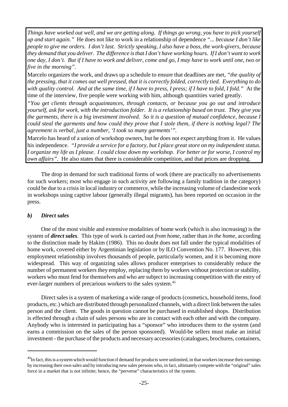*Things have worked out well, and we are getting along. If things go wrong, you have to pick yourself up and start again."* He does not like to work in a relationship of dependence *"... because I don't like people to give me orders. I don't last. Strictly speaking, I also have a boss, the work-givers, because they demand that you deliver. The difference is that I don't have working hours. If I don't want to work one day, I don't. But if I have to work and deliver, come and go, I may have to work until one, two or five in the morning".*

Marcelo organizes the work, and draws up a schedule to ensure that deadlines are met, *"the quality of the pressing, that it comes out well pressed, that it is correctly folded, correctly tied. Everything to do with quality control. And at the same time, if I have to press, I press; if I have to fold, I fold."* At the time of the interview, five people were working with him, although quantities varied greatly.

*"You get clients through acquaintances, through contacts, or because you go out and introduce yourself, ask for work, with the introduction folder. It is a relationship based on trust. They give you the garments, there is a big investment involved. So it is a question of mutual confidence, because I could steal the garments and how could they prove that I stole them, if there is nothing legal? The agreement is verbal, just a number, 'I took so many garments'".*

Marcelo has heard of a union of workshop owners, but he does not expect anything from it. He values his independence. *"I provide a service for a factory, but I place great store on my independent status. I organize my life as I please. I could close down my workshop. For better or for worse, I control my own affairs".* He also states that there is considerable competition, and that prices are dropping.

The drop in demand for such traditional forms of work (there are practically no advertisements for such workers; most who engage in such activity are following a family tradition in the category) could be due to a crisisin local industry or commerce, while the increasing volume of clandestine work in workshops using captive labour (generally illegal migrants), has been reported on occasion in the press.

# *b) Direct sales*

One of the most visible and extensive modalities of home work (which is also increasing) is the system of *direct sales*. This type of work is carried out *from home*, rather than *in the home*, according to the distinction made by Hakim (1986). This no doubt does not fall under the typical modalities of home work, covered either by Argentinian legislation or by ILO Convention No. 177. However, this employment relationship involves thousands of people, particularly women, and it is becoming more widespread. This way of organizing sales allows producer enterprises to considerably reduce the number of permanent workers they employ, replacing them by workers without protection or stability, workers who must fend for themselves and who are subject to increasing competition with the entry of ever-larger numbers of precarious workers to the sales system.<sup>45</sup>

Direct sales is a system of marketing a wide range of products (cosmetics, household items, food products, etc.) which are distributed through personalized channels, with a direct link between the sales person and the client. The goods in question cannot be purchased in established shops. Distribution is effected through a chain of sales persons who are in contact with each other and with the company. Anybody who is interested in participating has a "sponsor" who introduces them to the system (and earns a commission on the sales of the person sponsored). Would-be sellers must make an initial investment - the purchase of the products and necessary accessories(catalogues, brochures, containers,

<sup>&</sup>lt;sup>45</sup>In fact, this is a system which would function if demand for products were unlimited, in that workers increase their earnings by increasing their own sales and by introducing new sales persons who, in fact, ultimately compete with the "original" sales force in a market that is not infinite; hence, the "perverse" characteristics of the system.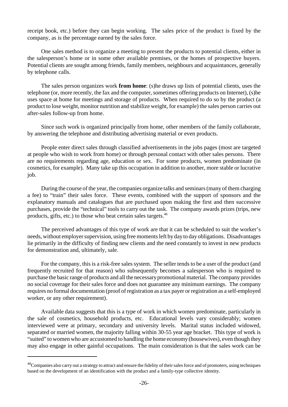receipt book, etc.) before they can begin working. The sales price of the product is fixed by the company, as is the percentage earned by the sales force.

One sales method is to organize a meeting to present the products to potential clients, either in the salesperson's home or in some other available premises, or the homes of prospective buyers. Potential clients are sought among friends, family members, neighbours and acquaintances, generally by telephone calls.

The sales person organizes work **from home**: (s)he draws up lists of potential clients, uses the telephone (or, more recently, the fax and the computer, sometimes offering products on Internet), (s)he uses space at home for meetings and storage of products. When required to do so by the product (a product to lose weight, monitor nutrition and stabilize weight, for example) the sales person carries out after-sales follow-up from home.

Since such work is organized principally from home, other members of the family collaborate, by answering the telephone and distributing advertising material or even products.

People enter direct sales through classified advertisements in the jobs pages (most are targeted at people who wish to work from home) or through personal contact with other sales persons. There are no requirements regarding age, education or sex. For some products, women predominate (in cosmetics, for example). Many take up this occupation in addition to another, more stable or lucrative job.

During the course of the year, the companies organize talks and seminars(many of them charging a fee) to "train" their sales force. These events, combined with the support of sponsors and the explanatory manuals and catalogues that are purchased upon making the first and then successive purchases, provide the "technical" tools to carry out the task. The company awards prizes (trips, new products, gifts, etc.) to those who beat certain sales targets.<sup>46</sup>

The perceived advantages of this type of work are that it can be scheduled to suit the worker's needs, without employer supervision, using free moments left by day to day obligations. Disadvantages lie primarily in the difficulty of finding new clients and the need constantly to invest in new products for demonstration and, ultimately, sale.

For the company, this is a risk-free sales system. The seller tends to be a user of the product (and frequently recruited for that reason) who subsequently becomes a salesperson who is required to purchase the basic range of products and all the necessarypromotional material. The company provides no social coverage for their sales force and does not guarantee any minimum earnings. The company requires no formal documentation (proof ofregistration as a tax payer or registration as a self-employed worker, or any other requirement).

Available data suggests that this is a type of work in which women predominate, particularly in the sale of cosmetics, household products, etc. Educational levels vary considerably; women interviewed were at primary, secondary and university levels. Marital status included widowed, separated or married women, the majority falling within 30-55 year age bracket. This type of work is "suited" to women who are accustomed to handling the home economy (housewives), even though they may also engage in other gainful occupations. The main consideration is that the sales work can be

<sup>46</sup>Companies also carry out a strategy to attract and ensure the fidelity of theirsalesforce and of promoters, using techniques based on the development of an identification with the product and a family-type collective identity.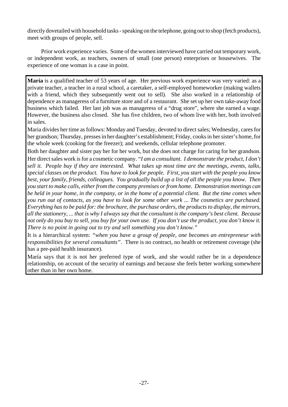directly dovetailed with household tasks-speaking on the telephone, going out to shop (fetch products), meet with groups of people, sell.

Prior work experience varies. Some of the women interviewed have carried out temporary work, or independent work, as teachers, owners of small (one person) enterprises or housewives. The experience of one woman is a case in point.

**María** is a qualified teacher of 53 years of age. Her previous work experience was very varied: as a private teacher, a teacher in a rural school, a caretaker, a self-employed homeworker (making wallets with a friend, which they subsequently went out to sell). She also worked in a relationship of dependence as manageress of a furniture store and of a restaurant. She set up her own take-away food business which failed. Her last job was as manageress of a "drug store", where she earned a wage. However, the business also closed. She has five children, two of whom live with her, both involved in sales.

Maria divides her time as follows: Monday and Tuesday, devoted to direct sales; Wednesday, cares for her grandson; Thursday, pressesin her daughter's establishment; Friday, cooksin hersister's home, for the whole week (cooking for the freezer); and weekends, cellular telephone promoter.

Both her daughter and sister pay her for her work, but she does not charge for caring for her grandson. Her direct sales work is for a cosmetic company. "*I am a consultant. I demonstrate the product, I don't sell it. People buy if they are interested. What takes up most time are the meetings, events, talks, special classes on the product. You have to look for people. First, you start with the people you know best, your family, friends, colleagues. You gradually build up a list of all the people you know. Then you start to make calls, either from the company premises orfrom home. Demonstration meetings can be held in your home, in the company, or in the home of a potential client. But the time comes when you run out of contacts, as you have to look for some other work ... The cosmetics are purchased. Everything has to be paid for: the brochure, the purchase orders, the products to display, the mirrors,* all the stationery, ... that is why I always say that the consultant is the company's best client. Because *not only do you buy to sell, you buy for your own use. If you don't use the product, you don't know it. There is no point in going out to try and sell something you don't know."*

It is a hierarchical system: *"when you have a group of people, one becomes an entrepreneur with responsibilities for several consultants"*. There is no contract, no health or retirement coverage (she has a pre-paid health insurance).

María says that it is not her preferred type of work, and she would rather be in a dependence relationship, on account of the security of earnings and because she feels better working somewhere other than in her own home.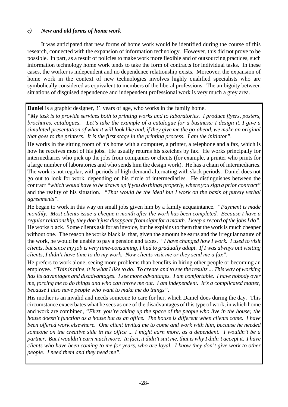# *c) New and old forms of home work*

It was anticipated that new forms of home work would be identified during the course of this research, connected with the expansion of information technology. However, this did not prove to be possible. In part, as a result of policies to make work more flexible and of outsourcing practices, such information technology home work tends to take the form of contracts for individual tasks. In these cases, the worker is independent and no dependence relationship exists. Moreover, the expansion of home work in the context of new technologies involves highly qualified specialists who are symbolically considered as equivalent to members of the liberal professions. The ambiguity between situations of disguised dependence and independent professional work is very much a grey area.

# **Daniel** is a graphic designer, 31 years of age, who works in the family home.

*"My task is to provide services both to printing works and to laboratories. I produce flyers, posters, brochures, catalogues. Let's take the example of a catalogue for a business: I design it, I give a* simulated presentation of what it will look like and, if they give me the go-ahead, we make an original *that goes to the printers. It is the first stage in the printing process. I am the initiator".*

He works in the sitting room of his home with a computer, a printer, a telephone and a fax, which is how he receives most of his jobs. He usually returns his sketches by fax. He works principally for intermediaries who pick up the jobs from companies or clients (for example, a printer who prints for a large number of laboratories and who sends him the design work). He has a chain of intermediaries. The work is not regular, with periods of high demand alternating with slack periods. Daniel does not go out to look for work, depending on his circle of intermediaries. He distinguishes between the contract "which would have to be drawn up if you do things properly, where you sign a prior contract" and the reality of his situation. *"That would be the ideal but I work on the basis of purely verbal agreements".*

He began to work in this way on small jobs given him by a family acquaintance. *"Payment is made monthly. Most clients issue a cheque a month after the work has been completed. Because I have a regularrelationship, they don't just disappearfrom sight for a month. I keep a record of the jobs I do".* He works black. Some clients ask for an invoice, but he explains to them that the work is much cheaper without one. The reason he works black is that, given the amount he earns and the irregular nature of the work, he would be unable to pay a pension and taxes. *"I have changed how I work. I used to visit clients, but since my job is very time-consuming, I had to gradually adapt. If I was always out visiting clients, I didn't have time to do my work. Now clients visit me or they send me a fax".*

He prefers to work alone, seeing more problems than benefits in hiring other people or becoming an employee. *"This is mine, it is what I like to do. To create and to see the results ... This way of working has its advantages and disadvantages. I see more advantages. I am comfortable. I have nobody over me, forcing me to do things and who can throw me out. I am independent. It's a complicated matter, because I also have people who want to make me do things".*

His mother is an invalid and needs someone to care for her, which Daniel does during the day. This circumstance exacerbates what he sees as one of the disadvantages of this type of work, in which home and work are combined, *"First, you're taking up the space of the people who live in the house; the house doesn't function as a house but as an office. The house is different when clients come. I have been offered work elsewhere. One client invited me to come and work with him, because he needed someone on the creative side in his office ... I might earn more, as a dependent. I wouldn't be a partner. But I wouldn't earn much more. In fact, it didn't suit me, that is why I didn't accept it. I have clients who have been coming to me for years, who are loyal. I know they don't give work to other people. I need them and they need me".*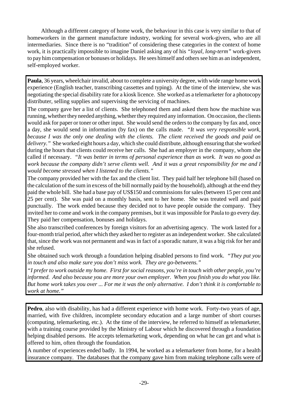Although a different category of home work, the behaviour in this case is very similar to that of homeworkers in the garment manufacture industry, working for several work-givers, who are all intermediaries. Since there is no "tradition" of considering these categories in the context of home work, it is practically impossible to imagine Daniel asking any of his *"loyal, long-term"* work-givers to pay him compensation or bonuses or holidays. He sees himself and others see him as an independent, self-employed worker.

**Paula**, 36 years, wheelchair invalid, about to complete a university degree, with wide range home work experience (English teacher, transcribing cassettes and typing). At the time of the interview, she was negotiating the special disability rate for a kiosk licence. She worked as a telemarketer for a photocopy distributer, selling supplies and supervising the servicing of machines.

The company gave her a list of clients. She telephoned them and asked them how the machine was running, whether they needed anything, whether they required any information. On occasion, the clients would ask for paper or toner or other input. She would send the orders to the company by fax and, once a day, she would send in information (by fax) on the calls made. *"It was very responsible work, because I was the only one dealing with the clients. The client received the goods and paid on delivery."* She worked eight hours a day, which she could distribute, although ensuring that she worked during the hours that clients could receive her calls. She had an employer in the company, whom she called if necessary. *"It was better in terms of personal experience than as work. It was no good as work because the company didn't serve clients well. And it was a great responsibility for me and I would become stressed when I listened to the clients."*

The company provided her with the fax and the client list. They paid half her telephone bill (based on the calculation of the sum in excess of the bill normally paid by the household), although at the end they paid the whole bill. She had a base pay of US\$150 and commissions for sales (between 15 per cent and 25 per cent). She was paid on a monthly basis, sent to her home. She was treated well and paid punctually. The work ended because they decided not to have people outside the company. They invited her to come and work in the company premises, but it was impossible for Paula to go every day. They paid her compensation, bonuses and holidays.

She also transcribed conferences by foreign visitors for an advertising agency. The work lasted for a four-month trial period, after which they asked her to register as an independent worker. She calculated that, since the work was not permanent and was in fact of a sporadic nature, it was a big risk for her and she refused.

She obtained such work through a foundation helping disabled persons to find work. *"They put you in touch and also make sure you don't miss work. They are go-betweens."*

*"I prefer to work outside my home. First for social reasons, you're in touch with other people, you're informed. And also because you are more your own employer. When you finish you do what you like. But home work takes you over ... For me it was the only alternative. I don't think it is comfortable to work at home."*

**Pedro**, also with disability, has had a different experience with home work. Forty-two years of age, married, with five children, incomplete secondary education and a large number of short courses (computing, telemarketing, etc.). At the time of the interview, he referred to himself as telemarketer, with a training course provided by the Ministry of Labour which he discovered through a foundation helping disabled persons. He accepts telemarketing work, depending on what he can get and what is offered to him, often through the foundation.

A number of experiences ended badly. In 1994, he worked as a telemarketer from home, for a health insurance company. The databases that the company gave him from making telephone calls were of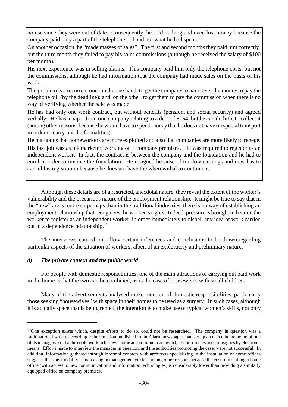no use since they were out of date. Consequently, he sold nothing and even lost money because the company paid only a part of the telephone bill and not what he had spent.

On another occasion, he "made masses of sales". The first and second months they paid him correctly, but the third month they failed to pay his sales commissions (although he received the salary of \$100 per month).

His next experience was in selling alarms. This company paid him only the telephone costs, but not the commissions, although he had information that the company had made sales on the basis of his work.

The problem is a recurrent one: on the one hand, to get the company to hand over the money to pay the telephone bill (by the deadline); and, on the other, to get them to pay the commission when there is no way of verifying whether the sale was made.

He has had only one work contract, but without benefits (pension, and social security) and agreed verbally. He has a paper from one company relating to a debt of \$164, but he can do little to collect it (among other reasons, because he would have to spend money that he does not have on special transport in order to carry out the formalities).

He maintains that homeworkers are more exploited and also that companies are more likely to renege.

His last job was as telemarketer, working on a company premises. He was required to register as an independent worker. In fact, the contract is between the company and the foundation and he had to enrol in order to invoice the foundation. He resigned because of too-low earnings and now has to cancel his registration because he does not have the wherewithal to continue it.

Although these details are of a restricted, anecdotal nature, they reveal the extent of the worker's vulnerability and the precarious nature of the employment relationship. It might be true to say that in the "new" areas, more so perhaps than in the traditional industries, there is no way of establishing an employment relationship that recognizes the worker's rights. Indeed, pressure is brought to bear on the worker to register as an independent worker, in order immediately to dispel any idea of work carried out in a dependence relationship.<sup>47</sup>

The interviews carried out allow certain inferences and conclusions to be drawn regarding particular aspects of the situation of workers, albeit of an exploratory and preliminary nature.

# *d) The private context and the public world*

For people with domestic responsibilities, one of the main attractions of carrying out paid work in the home is that the two can be combined, as is the case of housewives with small children.

 Many of the advertisements analysed make mention of domestic responsibilities, particularly those seeking "housewives" with space in their homes to be used as a surgery. In such cases, although it is actually space that is being rented, the intention is to make use of typical women's skills, not only

<sup>&</sup>lt;sup>47</sup>One exception exists which, despite efforts to do so, could not be researched. The company in question was a multinational which, according to information published in the Clarín newspaper, had set up an office in the home of one of its managers, so that he could work in his own home and communicate with hissubordinates and colleagues by electronic means. Efforts made to interview the manager in question, and the authorities promoting the case, were not successful. In addition, information gathered through informal contacts with architects specializing in the installation of home offices suggests that this modality is increasing in management circles, among other reasons because the cost of installing a home office (with access to new communication and information technologies) is considerably lower than providing a similarly equipped office on company premises.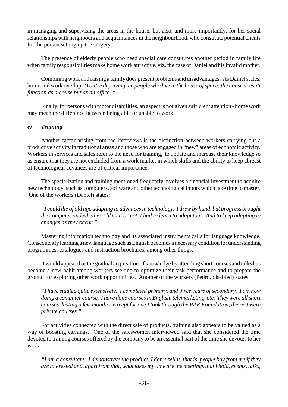in managing and supervising the areas in the house, but also, and more importantly, for her social relationships with neighbours and acquaintances in the neighbourhood, who constitute potential clients for the person setting up the surgery.

The presence of elderly people who need special care constitutes another period in family life when family responsibilities make home work attractive, viz. the case of Daniel and hisinvalid mother.

Combining work and raising a familydoes present problems and disadvantages. As Daniel states, home and work overlap, "*You're depriving the people who live in the house ofspace; the house doesn't function as a house but as an office. "*

Finally, for persons with motor disabilities, an aspect is not given sufficient attention - home work may mean the difference between being able or unable to work.

# *e) Training*

Another factor arising from the interviews is the distinction between workers carrying out a productive activity in traditional areas and those who are engaged in "new" areas of economic activity. Workers in services and sales refer to the need for training, to update and increase their knowledge so as ensure that they are not excluded from a work market in which skills and the ability to keep abreast of technological advances are of critical importance.

The specialization and training mentioned frequently involves a financial investment to acquire new technology, such as computers, software and other technological inputs which take time to master. One of the workers (Daniel) states:

*"I could die of old age adapting to advancesin technology. I drew by hand, but progress brought the computer and,whether I liked it or not, I had to learn to adapt to it. And to keep adapting to changes as they occur."*

Mastering information technology and its associated instruments calls for language knowledge. Consequently learning a new language such as English becomes a necessary condition for understanding programmes, catalogues and instruction brochures, among other things.

It would appearthat the gradual acquisition of knowledge by attending short courses and talks has become a new habit among workers seeking to optimize their task performance and to prepare the ground for exploring other work opportunities. Another of the workers (Pedro, disabled) states:

*"I have studied quite extensively. I completed primary, and three years of secondary. I am now doing a computer course. I have done courses in English, telemarketing, etc. They were all short courses, lasting a few months. Except for one I took through the PAR Foundation, the rest were private courses."*

For activities connected with the direct sale of products, training also appears to be valued as a way of boosting earnings. One of the saleswomen interviewed said that she considered the time devoted to training courses offered by the company to be an essential part of the time she devotes to her work.

*"I am a consultant. I demonstrate the product, I don't sell it, that is, people buy from me if they are interested and, apart from that, what takes my time are the meetingsthat I hold, events, talks,*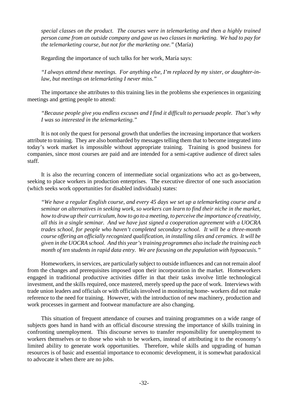*special classes on the product. The courses were in telemarketing and then a highly trained person came from an outside company and gave us two classes in marketing. We had to pay for the telemarketing course, but not for the marketing one."* (María)

Regarding the importance of such talks for her work, María says:

*"I always attend these meetings. For anything else, I'm replaced by my sister, or daughter-inlaw, but meetings on telemarketing I never miss."*

The importance she attributes to this training lies in the problems she experiences in organizing meetings and getting people to attend:

*"Because people give you endless excuses and I find it difficult to persuade people. That's why I was so interested in the telemarketing."*

It is not only the quest for personal growth that underlies the increasing importance that workers attribute to training. They are also bombarded by messages telling them that to become integrated into today's work market is impossible without appropriate training. Training is good business for companies, since most courses are paid and are intended for a semi-captive audience of direct sales staff.

It is also the recurring concern of intermediate social organizations who act as go-between, seeking to place workers in production enterprises. The executive director of one such association (which seeks work opportunities for disabled individuals) states:

*"We have a regular English course, and every 45 days we set up a telemarketing course and a seminar on alternatives in seeking work, so workers can learn to find their niche in the market, how to draw up their curriculum, howto go to a meeting, to perceive the importance of creativity, all this in a single seminar. And we have just signed a cooperation agreement with a UOCRA trades school, for people who haven't completed secondary school. It will be a three-month course offering an officially recognized qualification, in installing tiles and ceramics. It will be given in the UOCRA school. And this year's training programmes also include the training each month of ten students in rapid data entry. We are focusing on the population with hypoacusis."*

Homeworkers, in services, are particularly subject to outside influences and can not remain aloof from the changes and prerequisites imposed upon their incorporation in the market. Homeworkers engaged in traditional productive activities differ in that their tasks involve little technological investment, and the skills required, once mastered, merely speed up the pace of work. Interviews with trade union leaders and officials or with officials involved in monitoring home- workers did not make reference to the need for training. However, with the introduction of new machinery, production and work processes in garment and footwear manufacture are also changing.

This situation of frequent attendance of courses and training programmes on a wide range of subjects goes hand in hand with an official discourse stressing the importance of skills training in confronting unemployment. This discourse serves to transfer responsibility for unemployment to workers themselves or to those who wish to be workers, instead of attributing it to the economy's limited ability to generate work opportunities. Therefore, while skills and upgrading of human resources is of basic and essential importance to economic development, it is somewhat paradoxical to advocate it when there are no jobs.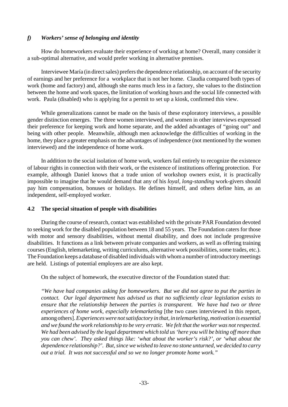# *f) Workers' sense of belonging and identity*

How do homeworkers evaluate their experience of working at home? Overall, many consider it a sub-optimal alternative, and would prefer working in alternative premises.

Interviewee María (in direct sales) prefers the dependence relationship, on account of the security of earnings and her preference for a workplace that is not her home. Claudia compared both types of work (home and factory) and, although she earns much less in a factory, she values to the distinction between the home and work spaces, the limitation of working hours and the social life connected with work. Paula (disabled) who is applying for a permit to set up a kiosk, confirmed this view.

While generalizations cannot be made on the basis of these exploratory interviews, a possible gender distinction emerges. The three women interviewed, and women in other interviews expressed their preference for keeping work and home separate, and the added advantages of "going out" and being with other people. Meanwhile, although men acknowledge the difficulties of working in the home, they place a greater emphasis on the advantages of independence (not mentioned by the women interviewed) and the independence of home work.

In addition to the social isolation of home work, workers fail entirely to recognize the existence of labour rights in connection with their work, or the existence of institutions offering protection. For example, although Daniel knows that a trade union of workshop owners exist, it is practically impossible to imagine that he would demand that any of his *loyal, long-standing* work-givers should pay him compensation, bonuses or holidays. He defines himself, and others define him, as an independent, self-employed worker.

# **4.2 The special situation of people with disabilities**

During the course of research, contact was established with the private PAR Foundation devoted to seeking work for the disabled population between 18 and 55 years. The Foundation caters for those with motor and sensory disabilities, without mental disability, and does not include progressive disabilities. It functions as a link between private companies and workers, as well as offering training courses (English, telemarketing, writing curriculums, alternative work possibilities, some trades, etc.). The Foundation keeps a database of disabled individuals with whom a number of introductory meetings are held. Listings of potential employers are are also kept.

On the subject of homework, the executive director of the Foundation stated that:

*"We have had companies asking for homeworkers. But we did not agree to put the parties in contact. Our legal department has advised us that no sufficiently clear legislation exists to ensure that the relationship between the parties is transparent. We have had two or three experiences of home work, especially telemarketing* [the two cases interviewed in this report, among others].*Experienceswere notsatisfactory in that, in telemarketing, motivation is essential and we found the work relationship to be very erratic. We felt that the worker was not respected. We had been advised by the legal department which told us'here you will be biting off more than you can chew'. They asked things like: 'what about the worker's risk?', or 'what about the dependence relationship?'. But, since we wished to leave no stone unturned, we decided to carry out a trial. It was not successful and so we no longer promote home work."*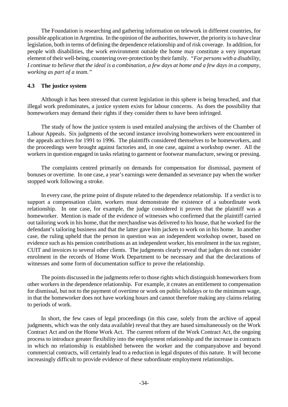The Foundation is researching and gathering information on telework in different countries, for possible application in Argentina. In the opinion of the authorities, however, the priority is to have clear legislation, both in terms of defining the dependence relationship and of risk coverage. In addition, for people with disabilities, the work environment outside the home may constitute a very important element of their well-being, countering over-protection by their family. *"For persons with a disability*, I continue to believe that the ideal is a combination, a few days at home and a few days in a company, *working as part of a team."*

# **4.3 The justice system**

Although it has been stressed that current legislation in this sphere is being breached, and that illegal work predominates, a justice system exists for labour concerns. As does the possibility that homeworkers may demand their rights if they consider them to have been infringed.

The study of how the justice system is used entailed analysing the archives of the Chamber of Labour Appeals. Six judgments of the second instance involving homeworkers were encountered in the appeals archives for 1991 to 1996. The plaintiffs considered themselves to be homeworkers, and the proceedings were brought against factories and, in one case, against a workshop owner. All the workers in question engaged in tasks relating to garment or footwear manufacture, sewing or pressing.

The complaints centred primarily on demands for compensation for dismissal, payment of bonuses or overtime. In one case, a year's earnings were demanded as severance pay when the worker stopped work following a stroke.

In every case, the prime point of dispute related to the dependence relationship. If a verdict is to support a compensation claim, workers must demonstrate the existence of a subordinate work relationship. In one case, for example, the judge considered it proven that the plaintiff was a homeworker. Mention is made of the evidence of witnesses who confirmed that the plaintiff carried out tailoring work in his home, that the merchandise was delivered to his house, that he worked for the defendant's tailoring business and that the latter gave him jackets to work on in his home. In another case, the ruling upheld that the person in question was an independent workshop owner, based on evidence such as his pension contributions as an independent worker, his enrolment in the tax register, CUIT and invoices to several other clients. The judgments clearly reveal that judges do not consider enrolment in the records of Home Work Department to be necessary and that the declarations of witnesses and some form of documentation suffice to prove the relationship.

The points discussed in the judgments refer to those rights which distinguish homeworkers from other workers in the dependence relationship. For example, it creates an entitlement to compensation for dismissal, but not to the payment of overtime or work on public holidays or to the minimum wage, in that the homeworker does not have working hours and cannot therefore making any claims relating to periods of work.

In short, the few cases of legal proceedings (in this case, solely from the archive of appeal judgments, which was the only data available) reveal that they are based simultaneously on the Work Contract Act and on the Home Work Act. The current reform of the Work Contract Act, the ongoing process to introduce greater flexibility into the employment relationship and the increase in contracts in which no relationship is established between the worker and the companyabove and beyond commercial contracts, will certainly lead to a reduction in legal disputes of this nature. It will become increasingly difficult to provide evidence of these subordinate employment relationships.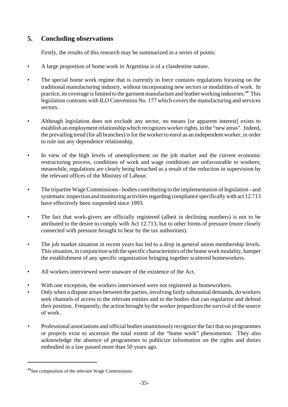# **5. Concluding observations**

Firstly, the results of this research may be summarized in a series of points:

- A large proportion of home work in Argentina is of a clandestine nature.
- The special home work regime that is currently in force contains regulations focusing on the traditional manufacturing industry, without incorporating new sectors or modalities of work. In practice, its coverage is limited to the garment manufacture and leather working industries.<sup>48</sup> This legislation contrasts with ILO Convention No. 177 which coversthe manufacturing and services sectors.
- Although legislation does not exclude any sector, no means [or apparent interest] exists to establish an employment relationship which recognizes worker rights, in the "new areas". Indeed, the prevailing trend (for all branches) is for the worker to enrol as an independent worker, in order to rule out any dependence relationship.
- In view of the high levels of unemployment on the job market and the current economic restructuring process, conditions of work and wage conditions are unfavourable to workers; meanwhile, regulations are clearly being breached as a result of the reduction in supervision by the relevant offices of the Ministry of Labour.
- The tripartite Wage Commissions bodies contributing to the implementation of legislation and systematic inspection and monitoring activities regarding compliance specifically with act 12.713 have effectively been suspended since 1993.
- The fact that work-givers are officially registered (albeit in declining numbers) is not to be attributed to the desire to comply with Act 12.713, but to other forms of pressure (more closely connected with pressure brought to bear by the tax authorities).
- The job market situation in recent years has led to a drop in general union membership levels. This situation, in conjunction with the specific characteristics of the home work modality, hamper the establishment of any specific organization bringing together scattered homeworkers.
- All workers interviewed were unaware of the existence of the Act.
- With one exception, the workers interviewed were not registered as homeworkers.
- Only when a dispute arises between the parties, involving fairly substantial demands, do workers seek channels of access to the relevant entities and to the bodies that can regularize and defend their position. Frequently, the action brought by the worker jeopardizes the survival of the source of work.
- Professional associations and official bodies unanimously recognize the fact that no programmes or projects exist to ascertain the total extent of the "home work" phenomenon. They also acknowledge the absence of programmes to publicize information on the rights and duties embodied in a law passed more than 50 years ago.

<sup>48</sup>See composition of the relevant Wage Commissions.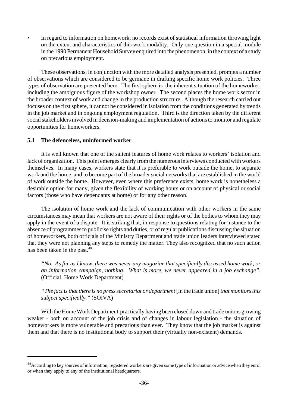• In regard to information on homework, no records exist of statistical information throwing light on the extent and characteristics of this work modality. Only one question in a special module in the 1990 Permanent Household Survey enquired into the phenomenon, in the context of a study on precarious employment.

These observations, in conjunction with the more detailed analysis presented, prompts a number of observations which are considered to be germane in drafting specific home work policies. Three types of observation are presented here. The first sphere is the inherent situation of the homeworker, including the ambiguous figure of the workshop owner. The second places the home work sector in the broader context of work and change in the production structure. Although the research carried out focuses on the first sphere, it cannot be considered in isolation from the conditions generated by trends in the job market and in ongoing employment regulation. Third is the direction taken by the different social stakeholders involved in decision-making and implementation of actions to monitor and regulate opportunities for homeworkers.

# **5.1 The defenceless, uninformed worker**

It is well known that one of the salient features of home work relates to workers' isolation and lack of organization. This point emerges clearly from the numerous interviews conducted with workers themselves. In many cases, workers state that it is preferable to work outside the home, to separate work and the home, and to become part of the broader social networks that are established in the world of work outside the home. However, even where this preference exists, home work is nonetheless a desirable option for many, given the flexibility of working hours or on account of physical or social factors (those who have dependants at home) or for any other reason.

The isolation of home work and the lack of communication with other workers in the same circumstances may mean that workers are not aware of their rights or of the bodies to whom they may apply in the event of a dispute. It is striking that, in response to questions relating for instance to the absence of programmesto publicise rights and duties, or ofregular publications discussing the situation of homeworkers, both officials of the Ministry Department and trade union leaders interviewed stated that they were not planning any steps to remedy the matter. They also recognized that no such action has been taken in the past.<sup>49</sup>

*"No. As far as I know, there was never any magazine that specifically discussed home work, or an information campaign, nothing. What is more, we never appeared in a job exchange".* (Official, Home Work Department)

*"The fact isthat there is no presssecretariat or department* [in the trade union] *that monitorsthis subject specifically."* (SOIVA)

With the Home Work Department practically having been closed down and trade unions growing weaker - both on account of the job crisis and of changes in labour legislation - the situation of homeworkers is more vulnerable and precarious than ever. They know that the job market is against them and that there is no institutional body to support their (virtually non-existent) demands.

<sup>&</sup>lt;sup>49</sup>According to key sources of information, registered workers are given some type of information or advice when they enrol or when they apply to any of the institutional headquarters.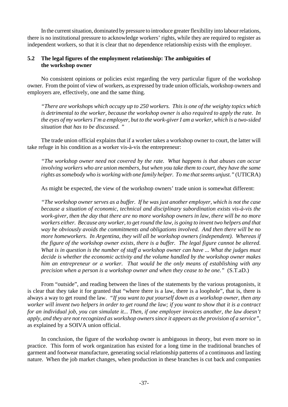In the current situation, dominated by pressure to introduce greater flexibility into labour relations, there is no institutional pressure to acknowledge workers' rights, while they are required to register as independent workers, so that it is clear that no dependence relationship exists with the employer.

# **5.2 The legal figures of the employment relationship: The ambiguities of the workshop owner**

No consistent opinions or policies exist regarding the very particular figure of the workshop owner. From the point of view of workers, as expressed by trade union officials, workshop owners and employers are, effectively, one and the same thing.

*"There are workshops which occupy up to 250 workers. This is one of the weighty topics which is detrimental to the worker, because the workshop owner is also required to apply the rate. In the eyes of my workersI'm a employer, but to the work-giverI am a worker, which is a two-sided situation that has to be discussed. "*

The trade union official explains that if a worker takes a workshop owner to court, the latter will take refuge in his condition as a worker vis-à-vis the entrepreneur:

*"The workshop owner need not covered by the rate. What happens is that abuses can occur involving workers who are union members, but when you take them to court, they have the same rights assomebody who is working with one family helper. To me that seems unjust."* (UTICRA)

As might be expected, the view of the workshop owners' trade union is somewhat different:

*"The workshop owner serves as a buffer. If he was just another employer, which is not the case because a situation of economic, technical and disciplinary subordination exists vis-à-vis the work-giver, then the day that there are no more workshop owners in law, there will be no more workers either. Because any worker, to get round the law, is going to invent two helpers and that way he obviously avoids the commitments and obligations involved. And then there will be no more homeworkers. In Argentina, they will all be workshop owners (independent). Whereas if the figure of the workshop owner exists, there is a buffer. The legal figure cannot be altered. What is in question is the number of staff a workshop owner can have ... What the judges must decide is whether the economic activity and the volume handled by the workshop owner makes him an entrepreneur or a worker. That would be the only means of establishing with any precision when a person is a workshop owner and when they cease to be one."* (S.T.aD.)

From "outside", and reading between the lines of the statements by the various protagonists, it is clear that they take it for granted that "where there is a law, there is a loophole", that is, there is always a way to get round the law. *"If you want to put yourself down as a workshop owner, then any worker will invent two helpers in order to get round the law; if you want to show that it is a contract for an individual job, you can simulate it... Then, if one employer invoices another, the law doesn't apply, and they are notrecognized as workshop ownerssince it appears asthe provision of a service"*, as explained by a SOIVA union official.

In conclusion, the figure of the workshop owner is ambiguous in theory, but even more so in practice. This form of work organization has existed for a long time in the traditional branches of garment and footwear manufacture, generating social relationship patterns of a continuous and lasting nature. When the job market changes, when production in these branches is cut back and companies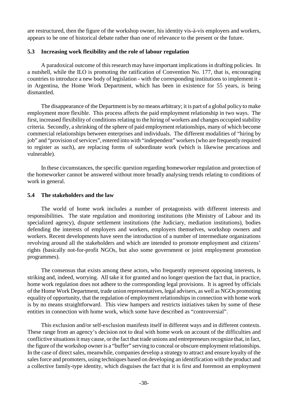are restructured, then the figure of the workshop owner, his identity vis-à-vis employers and workers, appears to be one of historical debate rather than one of relevance to the present or the future.

#### **5.3 Increasing work flexibility and the role of labour regulation**

A paradoxical outcome of this research may have important implications in drafting policies. In a nutshell, while the ILO is promoting the ratification of Convention No. 177, that is, encouraging countries to introduce a new body of legislation - with the corresponding institutions to implement it in Argentina, the Home Work Department, which has been in existence for 55 years, is being dismantled.

The disappearance of the Department is by no means arbitrary; it is part of a global policy to make employment more flexible. This process affects the paid employment relationship in two ways. The first, increased flexibility of conditions relating to the hiring of workers and changes occupied stability criteria. Secondly, a shrinking of the sphere of paid employment relationships, many of which become commercial relationships between enterprises and individuals. The different modalities of "hiring by job" and "provision of services", entered into with "independent" workers (who are frequently required to register as such), are replacing forms of subordinate work (which is likewise precarious and vulnerable).

In these circumstances, the specific question regarding homeworker regulation and protection of the homeworker cannot be answered without more broadly analysing trends relating to conditions of work in general.

#### **5.4 The stakeholders and the law**

The world of home work includes a number of protagonists with different interests and responsibilities. The state regulation and monitoring institutions (the Ministry of Labour and its specialized agency), dispute settlement institutions (the Judiciary, mediation institutions), bodies defending the interests of employers and workers, employers themselves, workshop owners and workers. Recent developments have seen the introduction of a number of intermediate organizations revolving around all the stakeholders and which are intended to promote employment and citizens' rights (basically not-for-profit NGOs, but also some government or joint employment promotion programmes).

The consensus that exists among these actors, who frequently represent opposing interests, is striking and, indeed, worrying. All take it for granted and no longer question the fact that, in practice, home work regulation does not adhere to the corresponding legal provisions. It is agreed by officials of the Home Work Department, trade union representatives, legal advisers, as well as NGOs promoting equality of opportunity, that the regulation of employment relationshipsin connection with home work is by no means straightforward. This view hampers and restricts initiatives taken by some of these entities in connection with home work, which some have described as "controversial".

This exclusion and/or self-exclusion manifests itself in different ways and in different contexts. These range from an agency's decision not to deal with home work on account of the difficulties and conflictive situations it may cause, or the fact that trade unions and entrepreneurs recognize that, in fact, the figure of the workshop owner is a "buffer" serving to conceal or obscure employment relationships. In the case of direct sales, meanwhile, companies develop a strategy to attract and ensure loyalty of the salesforce and promoters, using techniques based on developing an identification with the product and a collective family-type identity, which disguises the fact that it is first and foremost an employment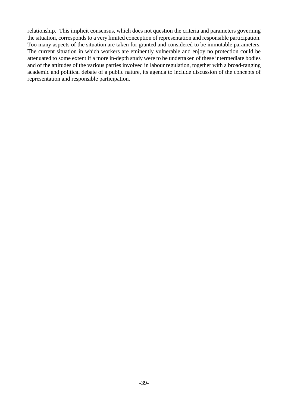relationship. This implicit consensus, which does not question the criteria and parameters governing the situation, corresponds to a very limited conception of representation and responsible participation. Too many aspects of the situation are taken for granted and considered to be immutable parameters. The current situation in which workers are eminently vulnerable and enjoy no protection could be attenuated to some extent if a more in-depth study were to be undertaken of these intermediate bodies and of the attitudes of the various parties involved in labour regulation, together with a broad-ranging academic and political debate of a public nature, its agenda to include discussion of the concepts of representation and responsible participation.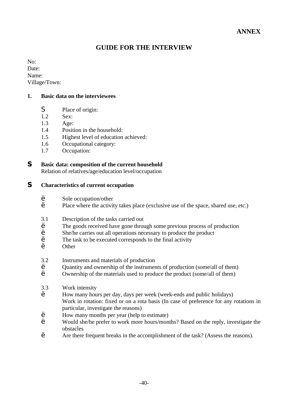# **GUIDE FOR THE INTERVIEW**

No: Date: Name: Village/Town:

# **1. Basic data on the interviewees**

- S Place of origin:
- 1.2 Sex:
- 1.3 Age:
- 1.4 Position in the household:
- 1.5 Highest level of education achieved:
- 1.6 Occupational category:
- 1.7 Occupation:

# **S Basic data: composition of the current household**

Relation of relatives/age/education level/occupation

# **S Characteristics of current occupation**

- ' Sole occupation/other
- Place where the activity takes place (exclusive use of the space, shared use, etc.)
- 3.1 Description of the tasks carried out
- The goods received have gone through some previous process of production
- <sup>'</sup> She/he carries out all operations necessary to produce the product
- The task to be executed corresponds to the final activity
- ' Other

# 3.2 Instruments and materials of production

- <sup>'</sup> Quantity and ownership of the instruments of production (some/all of them)
- ' Ownership of the materials used to produce the product (some/all of them)
- 3.3 Work intensity
- ' How many hours per day, days per week (week-ends and public holidays) Work in rotation: fixed or on a rota basis (In case of preference for any rotations in particular, investigate the reasons)
- ' How many months per year (help to estimate)
- ' Would she/he prefer to work more hours/months? Based on the reply, investigate the obstacles
- ' Are there frequent breaks in the accomplishment of the task? (Assess the reasons).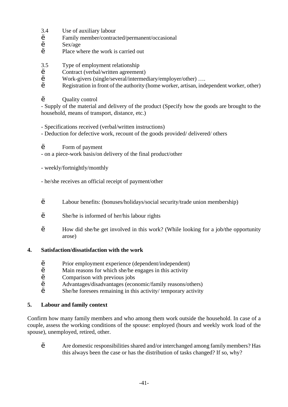- 3.4 Use of auxiliary labour
- ' Family member/contracted/permanent/occasional
- ' Sex/age
- Place where the work is carried out
- 3.5 Type of employment relationship
- ' Contract (verbal/written agreement)
- ' Work-givers (single/several/intermediary/employer/other) ….
- Registration in front of the authority (home worker, artisan, independent worker, other)
- Ouality control

- Supply of the material and delivery of the product (Specify how the goods are brought to the household, means of transport, distance, etc.)

- Specifications received (verbal/written instructions)
- Deduction for defective work, recount of the goods provided/ delivered/ others
- ' Form of payment
- on a piece-work basis/on delivery of the final product/other
- weekly/fortnightly/monthly
- he/she receives an official receipt of payment/other
- ' Labour benefits: (bonuses/holidays/social security/trade union membership)
- ' She/he is informed of her/his labour rights
- ' How did she/he get involved in this work? (While looking for a job/the opportunity arose)

# **4. Satisfaction/dissatisfaction with the work**

- ' Prior employment experience (dependent/independent)
- ' Main reasons for which she/he engages in this activity
- ' Comparison with previous jobs
- ' Advantages/disadvantages (economic/family reasons/others)
- She/he foresees remaining in this activity/ temporary activity

# **5. Labour and family context**

Confirm how many family members and who among them work outside the household. In case of a couple, assess the working conditions of the spouse: employed (hours and weekly work load of the spouse), unemployed, retired, other.

' Are domestic responsibilities shared and/or interchanged among family members? Has this always been the case or has the distribution of tasks changed? If so, why?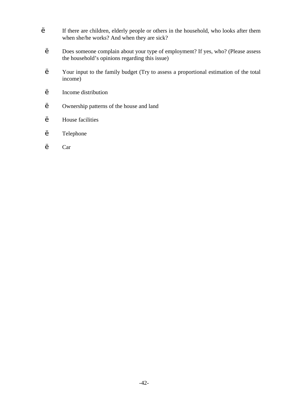- ' If there are children, elderly people or others in the household, who looks after them when she/he works? And when they are sick?
	- ' Does someone complain about your type of employment? If yes, who? (Please assess the household's opinions regarding this issue)
	- ' Your input to the family budget (Try to assess a proportional estimation of the total income)
	- ' Income distribution
	- ' Ownership patterns of the house and land
	- ' House facilities
	- ' Telephone
	- ' Car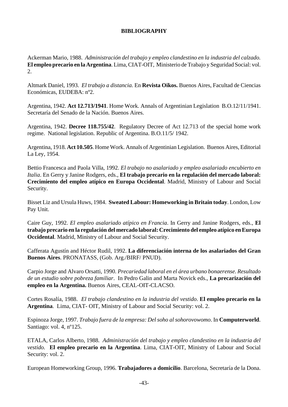### **BIBLIOGRAPHY**

Ackerman Mario, 1988. *Administración del trabajo y empleo clandestino en la industria del calzado.* **El empleo precario en la Argentina**.Lima,CIAT-OIT, Ministerio de Trabajo y Seguridad Social: vol. 2.

Altmark Daniel, 1993. *El trabajo a distancia.* En **Revista Oikos.** Buenos Aires, Facultad de Ciencias Económicas, EUDEBA: nº2.

Argentina, 1942. **Act 12.713/1941**. Home Work. Annals of Argentinian Legislation B.O.12/11/1941. Secretaría del Senado de la Nación. Buenos Aires.

Argentina, 1942. **Decree 118.755/42**. Regulatory Decree of Act 12.713 of the special home work regime. National legislation. Republic of Argentina. B.O.11/5/ 1942.

Argentina, 1918. **Act 10.505**. HomeWork. Annals of Argentinian Legislation. Buenos Aires, Editorial La Ley, 1954.

Bettio Francesca and Paola Villa, 1992. *El trabajo no asalariado y empleo asalariado encubierto en Italia*. En Gerry y Janine Rodgers, eds., **El trabajo precario en la regulación del mercado laboral: Crecimiento del empleo atípico en Europa Occidental**. Madrid, Ministry of Labour and Social Security.

Bisset Liz and Ursula Huws, 1984. **Sweated Labour: Homeworking in Britain today**. London, Low Pay Unit.

Caire Guy, 1992. *El empleo asalariado atípico en Francia*. In Gerry and Janine Rodgers, eds., **El trabajo precario en la regulación del mercado laboral: Crecimiento del empleo atípico enEuropa Occidental**. Madrid, Ministry of Labour and Social Security.

Cafferata Agustín and Héctor Rudil, 1992. **La diferenciación interna de los asalariados del Gran Buenos Aires**. PRONATASS, (Gob. Arg./BIRF/ PNUD).

Carpio Jorge and Alvaro Orsatti, 1990. *Precariedad laboral en el área urbano bonaerense*. *Resultado de un estudio sobre pobreza familiar*. In Pedro Galin and Marta Novick eds., **La precarización del empleo en la Argentina.** Buenos Aires, CEAL-OIT-CLACSO.

Cortes Rosalía, 1988. *El trabajo clandestino en la industria del vestido*. **El empleo precario en la Argentina**. Lima, CIAT- OIT, Ministry of Labour and Social Security: vol. 2.

Espinoza Jorge, 1997. *Trabajo fuera de la empresa: Del soho al sohorovowomo*. In **Computerworld**. Santiago: vol. 4, nº125.

ETALA, Carlos Alberto, 1988. *Administración del trabajo y empleo clandestino en la industria del vestido.* **El empleo precario en la Argentina**. Lima, CIAT-OIT, Ministry of Labour and Social Security: vol. 2.

European Homeworking Group, 1996. **Trabajadores a domicilio**. Barcelona, Secretaría de la Dona.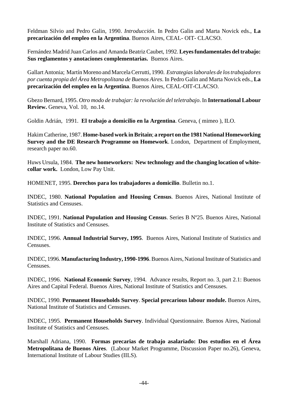Feldman Silvio and Pedro Galin, 1990. *Introducción.* In Pedro Galin and Marta Novick eds., **La precarización del empleo en la Argentina**. Buenos Aires, CEAL- OIT- CLACSO.

Fernández Madrid Juan Carlos and Amanda Beatriz Caubet, 1992. **Leyesfundamentales del trabajo: Sus reglamentos y anotaciones complementarias.** Buenos Aires.

Gallart Antonia; Martín Moreno and Marcela Cerrutti, 1990. *Estrategiaslaborales de lostrabajadores por cuenta propia del Área Metropolitana de Buenos Aires*. In Pedro Galin and Marta Novick eds., **La precarización del empleo en la Argentina**. Buenos Aires, CEAL-OIT-CLACSO.

Gbezo Bernard, 1995. *Otro modo de trabajar: la revolución del teletrabajo*. In **International Labour Review.** Geneva, Vol. 10, no.14.

Goldin Adrián, 1991. **El trabajo a domicilio en la Argentina**. Geneva, ( mimeo ), ILO.

HakimCatherine, 1987.**Home-based work inBritain**; **a report on the 1981 NationalHomeworking Survey and the DE Research Programme on Homework**. London, Department of Employment, research paper no.60.

Huws Ursula, 1984. **The new homeworkers: New technology and the changing location of whitecollar work.** London, Low Pay Unit.

HOMENET, 1995. **Derechos para los trabajadores a domicilio**. Bulletin no.1.

INDEC, 1980. **National Population and Housing Census**. Buenos Aires, National Institute of Statistics and Censuses.

INDEC, 1991. **National Population and Housing Census**. Series B Nº25. Buenos Aires, National Institute of Statistics and Censuses.

INDEC, 1996. **Annual Industrial Survey, 1995**. Buenos Aires, National Institute of Statistics and Censuses.

INDEC, 1996.**Manufacturing Industry, 1990-1996**.Buenos Aires, National Institute of Statistics and Censuses.

INDEC, 1996. **National Economic Survey**, 1994. Advance results, Report no. 3, part 2.1: Buenos Aires and Capital Federal. Buenos Aires, National Institute of Statistics and Censuses.

INDEC, 1990. **Permanent Households Survey**. **Special precarious labour module.** Buenos Aires, National Institute of Statistics and Censuses.

INDEC, 1995. **Permanent Households Survey**. Individual Questionnaire. Buenos Aires, National Institute of Statistics and Censuses.

Marshall Adriana, 1990. **Formas precarias de trabajo asalariado: Dos estudios en el Área Metropolitana de Buenos Aires**. (Labour Market Programme, Discussion Paper no.26), Geneva, International Institute of Labour Studies (IILS).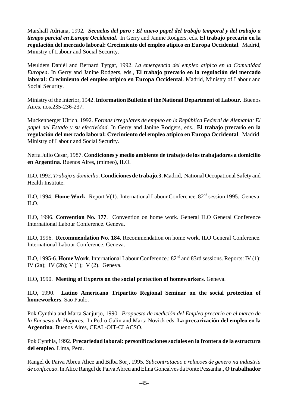Marshall Adriana, 1992*. Secuelas del paro : El nuevo papel del trabajo temporal y del trabajo a tiempo parcial en Europa Occidental.* In Gerry and Janine Rodgers, eds. **El trabajo precario en la regulación del mercado laboral: Crecimiento del empleo atípico en Europa Occidental**. Madrid, Ministry of Labour and Social Security.

Meulders Daniél and Bernard Tytgat, 1992. *La emergencia del empleo atípico en la Comunidad Europea*. In Gerry and Janine Rodgers, eds., **El trabajo precario en la regulación del mercado laboral: Crecimiento del empleo atípico en Europa Occidental**. Madrid, Ministry of Labour and Social Security.

Ministry of the Interior, 1942.**InformationBulletin of the National Department of Labour.** Buenos Aires, nos.235-236-237.

Muckenberger Ulrich, 1992. *Formas irregulares de empleo en la República Federal de Alemania: El papel del Estado y su efectividad*. In Gerry and Janine Rodgers, eds., **El trabajo precario en la regulación del mercado laboral: Crecimiento del empleo atípico en Europa Occidental**. Madrid, Ministry of Labour and Social Security.

Neffa Julio Cesar, 1987. **Condiciones y medio ambiente de trabajo de lostrabajadores a domicilio en Argentina**. Buenos Aires, (mimeo), ILO.

ILO, 1992. *Trabajo a domicilio*. **Condiciones de trabajo.3.** Madrid, National Occupational Safety and Health Institute.

ILO, 1994. Home Work. Report V(1). International Labour Conference. 82<sup>nd</sup> session 1995. Geneva, ILO.

ILO, 1996. **Convention No. 177**. Convention on home work. General ILO General Conference International Labour Conference. Geneva.

ILO, 1996. **Recommendation No. 184**. Recommendation on home work. ILO General Conference. International Labour Conference. Geneva.

ILO, 1995-6. **Home Work**. International Labour Conference.; 82nd and 83rd sessions. Reports: IV (1); IV (2a); IV (2b); V (1); V (2). Geneva.

ILO, 1990. **Meeting of Experts on the social protection of homeworkers**. Geneva.

ILO, 1990. **Latino Americano Tripartito Regional Seminar on the social protection of homeworkers**. Sao Paulo.

Pok Cynthia and Marta Sanjurjo, 1990. *Propuesta de medición del Empleo precario en el marco de la Encuesta de Hogares*. In Pedro Galin and Marta Novick eds. **La precarización del empleo en la Argentina**. Buenos Aires, CEAL-OIT-CLACSO.

Pok Cynthia, 1992. **Precariedad laboral: personificacionessociales en la frontera de la estructura del empleo**. Lima, Peru.

Rangel de Paiva Abreu Alice and Bilba Sorj, 1995*. Subcontratacao e relacoes de genero na industria de confeccao*. In Alice Rangel de Paiva Abreu and Elina Goncalves da Fonte Pessanha., **O trabalhador**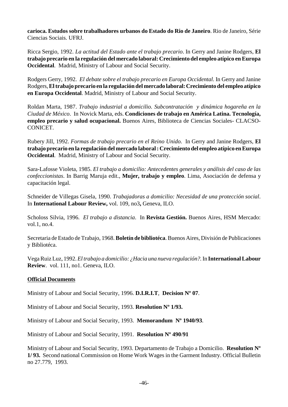**carioca. Estudos sobre trabalhadores urbanos do Estado do Rio de Janeiro**. Rio de Janeiro, Série Ciencias Sociais. UFRJ.

Ricca Sergio, 1992. *La actitud del Estado ante el trabajo precario*. In Gerry and Janine Rodgers, **El trabajo precario en la regulación del mercado laboral: Crecimiento del empleo atípico enEuropa Occidental**. Madrid, Ministry of Labour and Social Security.

Rodgers Gerry, 1992. *El debate sobre el trabajo precario en Europa Occidental*. In Gerry and Janine Rodgers,**Eltrabajo precario en la regulación del mercado laboral: Crecimiento del empleo atípico en Europa Occidental**. Madrid, Ministry of Labour and Social Security.

Roldan Marta, 1987. *Trabajo industrial a domicilio. Subcontratación y dinámica hogareña en la Ciudad de México*. In Novick Marta, eds. **Condiciones de trabajo en América Latina. Tecnología, empleo precario y salud ocupacional.** Buenos Aires, Biblioteca de Ciencias Sociales- CLACSO-CONICET.

Rubery Jill, 1992. *Formas de trabajo precario en el Reino Unido.* In Gerry and Janine Rodgers, **El trabajo precario en la regulación del mercado laboral: Crecimiento del empleo atípico en Europa Occidental**. Madrid, Ministry of Labour and Social Security.

Sara-Lafosse Violeta, 1985. *El trabajo a domicilio: Antecedentes generales y análisis del caso de las confeccionistas*. In Barrig Maruja edit., **Mujer, trabajo y empleo**. Lima, Asociación de defensa y capacitación legal.

Schneider de Villegas Gisela, 1990. *Trabajadoras a domicilio: Necesidad de una protección social*. In **International Labour Review,** vol. 109, no3**,** Geneva, ILO.

Scholoss Silvia, 1996. *El trabajo a distancia*. In **Revista Gestión.** Buenos Aires, HSM Mercado: vol.1, no.4.

Secretaria de Estado de Trabajo, 1968. **Boletín de bibliotéca**.Buenos Aires, División de Publicaciones y Bibliotéca.

VegaRuiz Luz, 1992.*El trabajo a domicilio: ¿Hacia una nueva regulación?.*In **InternationalLabour Review**. vol. 111, no1. Geneva, ILO.

# **Official Documents**

Ministry of Labour and Social Security, 1996. **D.I.R.I.T**, **Decision Nº 07**.

Ministry of Labour and Social Security, 1993. **Resolution Nº 1/93.** 

Ministry of Labour and Social Security, 1993. **Memorandum Nº 1940/93**.

Ministry of Labour and Social Security, 1991. **Resolution Nº 490**/**91**

Ministry of Labour and Social Security, 1993. Departamento de Trabajo a Domicilio. **Resolution Nº 1/ 93.** Second national Commission on Home Work Wages in the Garment Industry. Official Bulletin no 27.779, 1993.